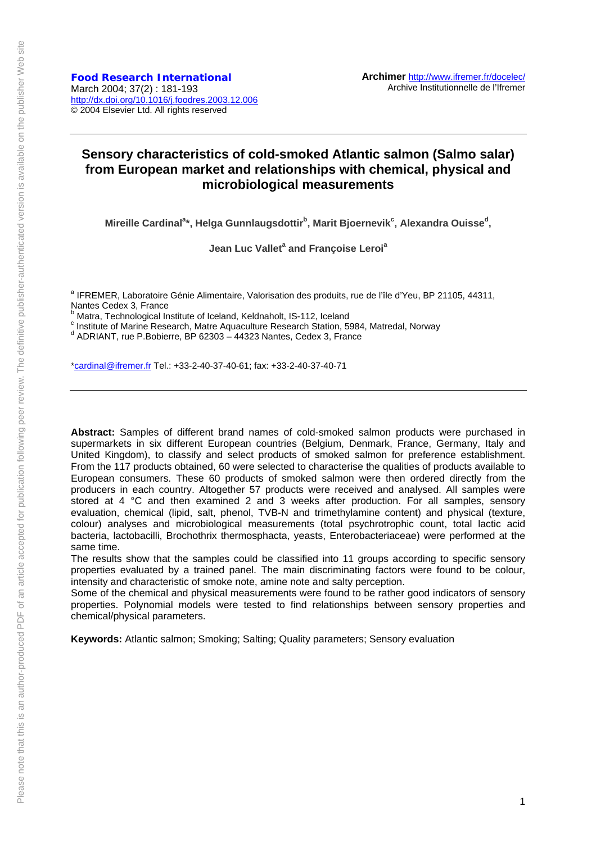**Food Research International** March 2004; 37(2) : 181-193 http://dx.doi.org/10.1016/j.foodres.2003.12.006 © 2004 Elsevier Ltd. All rights reserved

# **Sensory characteristics of cold-smoked Atlantic salmon (Salmo salar) from European market and relationships with chemical, physical and microbiological measurements**

Mireille Cardinal<sup>a</sup>\*, Helga Gunnlaugsdottir<sup>b</sup>, Marit Bjoernevik<sup>c</sup>, Alexandra Ouisse<sup>d</sup>,

**Jean Luc Vallet<sup>a</sup> and Françoise Leroi<sup>a</sup>** 

<sup>a</sup> IFREMER, Laboratoire Génie Alimentaire, Valorisation des produits, rue de l'île d'Yeu, BP 21105, 44311, Nantes Cedex 3, France<br><sup>b</sup> Matra, Technological Institute of Iceland, Keldnaholt, IS-112, Iceland

<sup>o</sup> Matra, Technological Institute of Iceland, Keldnaholt, IS-112, Iceland<br><sup>c</sup> Institute of Marine Bessereb, Matre Aguasulture Bessereb Station, 50

<sup>c</sup> Institute of Marine Research, Matre Aquaculture Research Station, 5984, Matredal, Norway<br>dia DRIANT, rua B Rebierre, BB 62202, dd222 Nortes, Caday 2, France

 $^{\text{d}}$  ADRIANT, rue P.Bobierre, BP 62303 - 44323 Nantes, Cedex 3, France

\*cardinal@ifremer.fr Tel.: +33-2-40-37-40-61; fax: +33-2-40-37-40-71

**Abstract:** Samples of different brand names of cold-smoked salmon products were purchased in supermarkets in six different European countries (Belgium, Denmark, France, Germany, Italy and United Kingdom), to classify and select products of smoked salmon for preference establishment. From the 117 products obtained, 60 were selected to characterise the qualities of products available to European consumers. These 60 products of smoked salmon were then ordered directly from the producers in each country. Altogether 57 products were received and analysed. All samples were stored at 4 °C and then examined 2 and 3 weeks after production. For all samples, sensory evaluation, chemical (lipid, salt, phenol, TVB-N and trimethylamine content) and physical (texture, colour) analyses and microbiological measurements (total psychrotrophic count, total lactic acid bacteria, lactobacilli, Brochothrix thermosphacta, yeasts, Enterobacteriaceae) were performed at the same time.

The results show that the samples could be classified into 11 groups according to specific sensory properties evaluated by a trained panel. The main discriminating factors were found to be colour, intensity and characteristic of smoke note, amine note and salty perception.

Some of the chemical and physical measurements were found to be rather good indicators of sensory properties. Polynomial models were tested to find relationships between sensory properties and chemical/physical parameters.

**Keywords:** Atlantic salmon; Smoking; Salting; Quality parameters; Sensory evaluation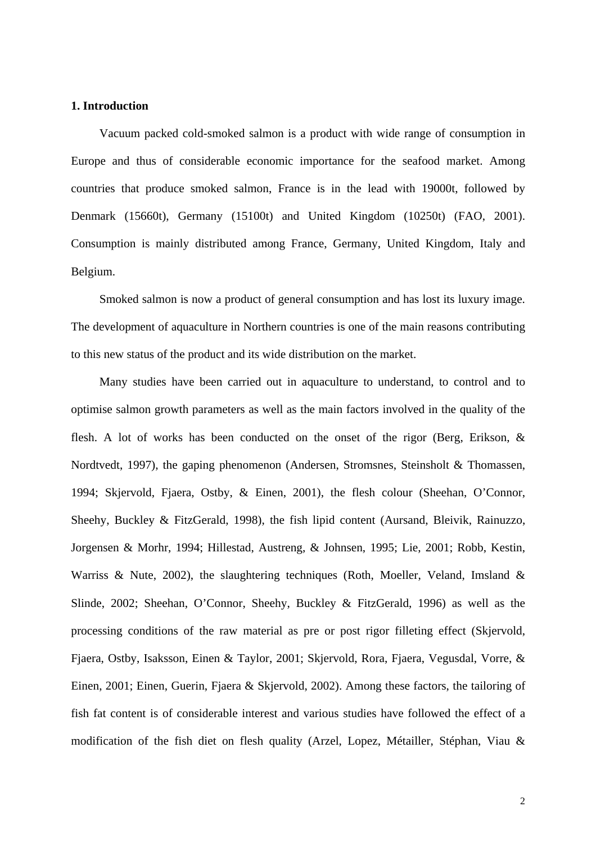# **1. Introduction**

Vacuum packed cold-smoked salmon is a product with wide range of consumption in Europe and thus of considerable economic importance for the seafood market. Among countries that produce smoked salmon, France is in the lead with 19000t, followed by Denmark (15660t), Germany (15100t) and United Kingdom (10250t) (FAO, 2001). Consumption is mainly distributed among France, Germany, United Kingdom, Italy and Belgium.

Smoked salmon is now a product of general consumption and has lost its luxury image. The development of aquaculture in Northern countries is one of the main reasons contributing to this new status of the product and its wide distribution on the market.

Many studies have been carried out in aquaculture to understand, to control and to optimise salmon growth parameters as well as the main factors involved in the quality of the flesh. A lot of works has been conducted on the onset of the rigor (Berg, Erikson, & Nordtvedt, 1997), the gaping phenomenon (Andersen, Stromsnes, Steinsholt & Thomassen, 1994; Skjervold, Fjaera, Ostby, & Einen, 2001), the flesh colour (Sheehan, O'Connor, Sheehy, Buckley & FitzGerald, 1998), the fish lipid content (Aursand, Bleivik, Rainuzzo, Jorgensen & Morhr, 1994; Hillestad, Austreng, & Johnsen, 1995; Lie, 2001; Robb, Kestin, Warriss & Nute, 2002), the slaughtering techniques (Roth, Moeller, Veland, Imsland & Slinde, 2002; Sheehan, O'Connor, Sheehy, Buckley & FitzGerald, 1996) as well as the processing conditions of the raw material as pre or post rigor filleting effect (Skjervold, Fjaera, Ostby, Isaksson, Einen & Taylor, 2001; Skjervold, Rora, Fjaera, Vegusdal, Vorre, & Einen, 2001; Einen, Guerin, Fjaera & Skjervold, 2002). Among these factors, the tailoring of fish fat content is of considerable interest and various studies have followed the effect of a modification of the fish diet on flesh quality (Arzel, Lopez, Métailler, Stéphan, Viau &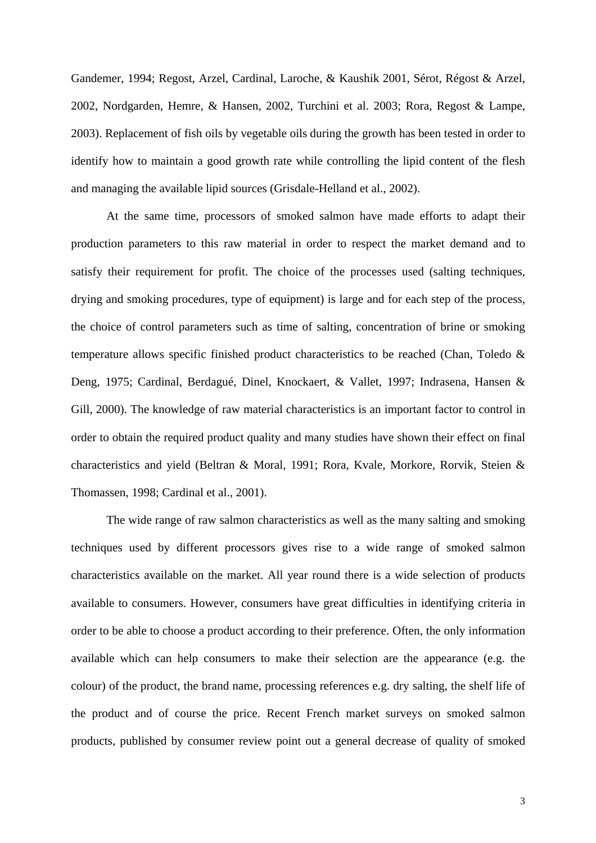Gandemer, 1994; Regost, Arzel, Cardinal, Laroche, & Kaushik 2001, Sérot, Régost & Arzel, 2002, Nordgarden, Hemre, & Hansen, 2002, Turchini et al. 2003; Rora, Regost & Lampe, 2003). Replacement of fish oils by vegetable oils during the growth has been tested in order to identify how to maintain a good growth rate while controlling the lipid content of the flesh and managing the available lipid sources (Grisdale-Helland et al., 2002).

At the same time, processors of smoked salmon have made efforts to adapt their production parameters to this raw material in order to respect the market demand and to satisfy their requirement for profit. The choice of the processes used (salting techniques, drying and smoking procedures, type of equipment) is large and for each step of the process, the choice of control parameters such as time of salting, concentration of brine or smoking temperature allows specific finished product characteristics to be reached (Chan, Toledo & Deng, 1975; Cardinal, Berdagué, Dinel, Knockaert, & Vallet, 1997; Indrasena, Hansen & Gill, 2000). The knowledge of raw material characteristics is an important factor to control in order to obtain the required product quality and many studies have shown their effect on final characteristics and yield (Beltran & Moral, 1991; Rora, Kvale, Morkore, Rorvik, Steien & Thomassen, 1998; Cardinal et al., 2001).

The wide range of raw salmon characteristics as well as the many salting and smoking techniques used by different processors gives rise to a wide range of smoked salmon characteristics available on the market. All year round there is a wide selection of products available to consumers. However, consumers have great difficulties in identifying criteria in order to be able to choose a product according to their preference. Often, the only information available which can help consumers to make their selection are the appearance (e.g. the colour) of the product, the brand name, processing references e.g. dry salting, the shelf life of the product and of course the price. Recent French market surveys on smoked salmon products, published by consumer review point out a general decrease of quality of smoked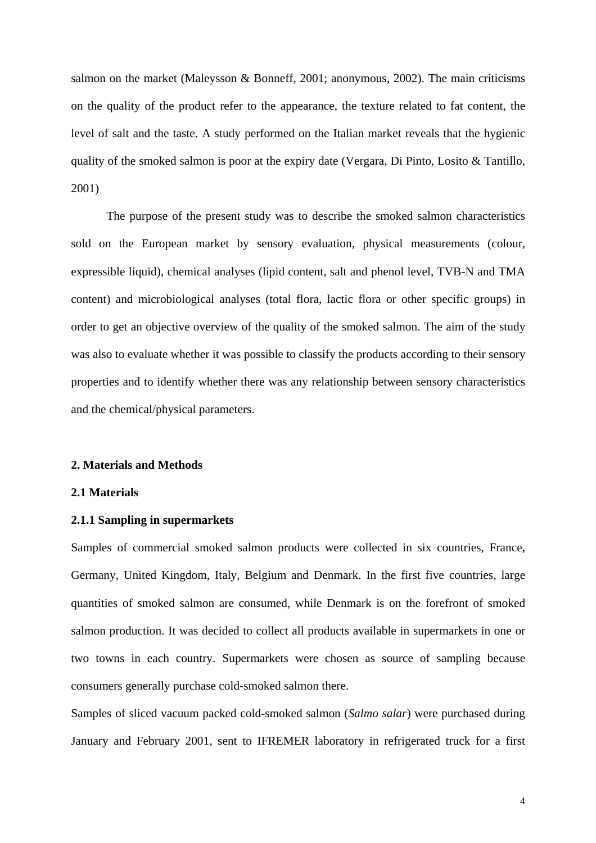salmon on the market (Maleysson & Bonneff, 2001; anonymous, 2002). The main criticisms on the quality of the product refer to the appearance, the texture related to fat content, the level of salt and the taste. A study performed on the Italian market reveals that the hygienic quality of the smoked salmon is poor at the expiry date (Vergara, Di Pinto, Losito & Tantillo, 2001)

The purpose of the present study was to describe the smoked salmon characteristics sold on the European market by sensory evaluation, physical measurements (colour, expressible liquid), chemical analyses (lipid content, salt and phenol level, TVB-N and TMA content) and microbiological analyses (total flora, lactic flora or other specific groups) in order to get an objective overview of the quality of the smoked salmon. The aim of the study was also to evaluate whether it was possible to classify the products according to their sensory properties and to identify whether there was any relationship between sensory characteristics and the chemical/physical parameters.

# **2. Materials and Methods**

#### **2.1 Materials**

#### **2.1.1 Sampling in supermarkets**

Samples of commercial smoked salmon products were collected in six countries, France, Germany, United Kingdom, Italy, Belgium and Denmark. In the first five countries, large quantities of smoked salmon are consumed, while Denmark is on the forefront of smoked salmon production. It was decided to collect all products available in supermarkets in one or two towns in each country. Supermarkets were chosen as source of sampling because consumers generally purchase cold-smoked salmon there.

Samples of sliced vacuum packed cold-smoked salmon (*Salmo salar*) were purchased during January and February 2001, sent to IFREMER laboratory in refrigerated truck for a first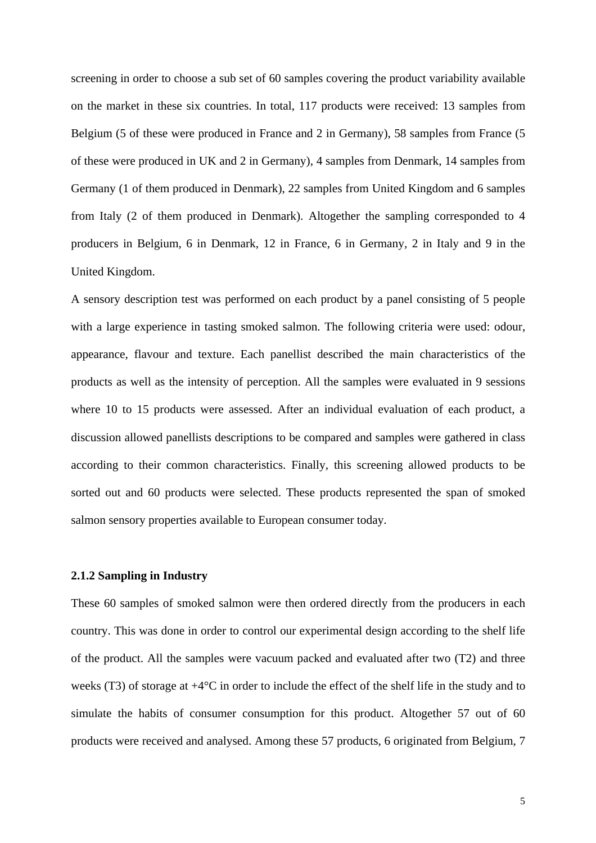screening in order to choose a sub set of 60 samples covering the product variability available on the market in these six countries. In total, 117 products were received: 13 samples from Belgium (5 of these were produced in France and 2 in Germany), 58 samples from France (5 of these were produced in UK and 2 in Germany), 4 samples from Denmark, 14 samples from Germany (1 of them produced in Denmark), 22 samples from United Kingdom and 6 samples from Italy (2 of them produced in Denmark). Altogether the sampling corresponded to 4 producers in Belgium, 6 in Denmark, 12 in France, 6 in Germany, 2 in Italy and 9 in the United Kingdom.

A sensory description test was performed on each product by a panel consisting of 5 people with a large experience in tasting smoked salmon. The following criteria were used: odour, appearance, flavour and texture. Each panellist described the main characteristics of the products as well as the intensity of perception. All the samples were evaluated in 9 sessions where 10 to 15 products were assessed. After an individual evaluation of each product, a discussion allowed panellists descriptions to be compared and samples were gathered in class according to their common characteristics. Finally, this screening allowed products to be sorted out and 60 products were selected. These products represented the span of smoked salmon sensory properties available to European consumer today.

# **2.1.2 Sampling in Industry**

These 60 samples of smoked salmon were then ordered directly from the producers in each country. This was done in order to control our experimental design according to the shelf life of the product. All the samples were vacuum packed and evaluated after two (T2) and three weeks (T3) of storage at +4°C in order to include the effect of the shelf life in the study and to simulate the habits of consumer consumption for this product. Altogether 57 out of 60 products were received and analysed. Among these 57 products, 6 originated from Belgium, 7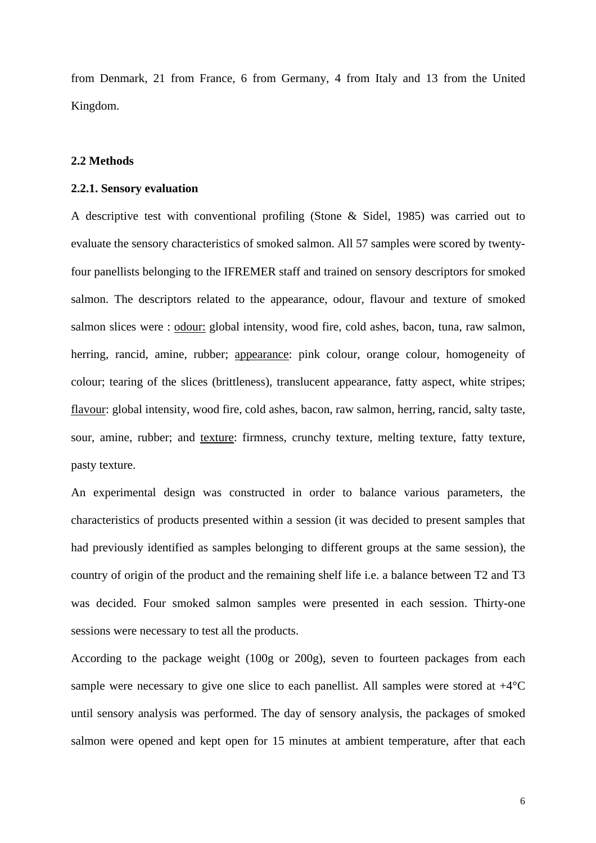from Denmark, 21 from France, 6 from Germany, 4 from Italy and 13 from the United Kingdom.

# **2.2 Methods**

#### **2.2.1. Sensory evaluation**

A descriptive test with conventional profiling (Stone & Sidel, 1985) was carried out to evaluate the sensory characteristics of smoked salmon. All 57 samples were scored by twentyfour panellists belonging to the IFREMER staff and trained on sensory descriptors for smoked salmon. The descriptors related to the appearance, odour, flavour and texture of smoked salmon slices were : odour: global intensity, wood fire, cold ashes, bacon, tuna, raw salmon, herring, rancid, amine, rubber; appearance: pink colour, orange colour, homogeneity of colour; tearing of the slices (brittleness), translucent appearance, fatty aspect, white stripes; flavour: global intensity, wood fire, cold ashes, bacon, raw salmon, herring, rancid, salty taste, sour, amine, rubber; and texture: firmness, crunchy texture, melting texture, fatty texture, pasty texture.

An experimental design was constructed in order to balance various parameters, the characteristics of products presented within a session (it was decided to present samples that had previously identified as samples belonging to different groups at the same session), the country of origin of the product and the remaining shelf life i.e. a balance between T2 and T3 was decided. Four smoked salmon samples were presented in each session. Thirty-one sessions were necessary to test all the products.

According to the package weight (100g or 200g), seven to fourteen packages from each sample were necessary to give one slice to each panellist. All samples were stored at  $+4^{\circ}C$ until sensory analysis was performed. The day of sensory analysis, the packages of smoked salmon were opened and kept open for 15 minutes at ambient temperature, after that each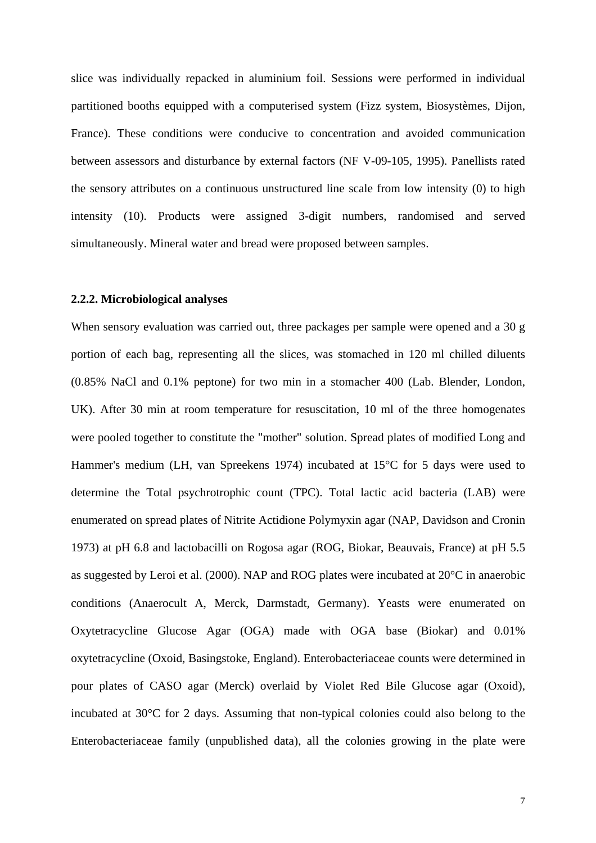slice was individually repacked in aluminium foil. Sessions were performed in individual partitioned booths equipped with a computerised system (Fizz system, Biosystèmes, Dijon, France). These conditions were conducive to concentration and avoided communication between assessors and disturbance by external factors (NF V-09-105, 1995). Panellists rated the sensory attributes on a continuous unstructured line scale from low intensity (0) to high intensity (10). Products were assigned 3-digit numbers, randomised and served simultaneously. Mineral water and bread were proposed between samples.

### **2.2.2. Microbiological analyses**

When sensory evaluation was carried out, three packages per sample were opened and a 30 g portion of each bag, representing all the slices, was stomached in 120 ml chilled diluents (0.85% NaCl and 0.1% peptone) for two min in a stomacher 400 (Lab. Blender, London, UK). After 30 min at room temperature for resuscitation, 10 ml of the three homogenates were pooled together to constitute the "mother" solution. Spread plates of modified Long and Hammer's medium (LH, van Spreekens 1974) incubated at 15°C for 5 days were used to determine the Total psychrotrophic count (TPC). Total lactic acid bacteria (LAB) were enumerated on spread plates of Nitrite Actidione Polymyxin agar (NAP, Davidson and Cronin 1973) at pH 6.8 and lactobacilli on Rogosa agar (ROG, Biokar, Beauvais, France) at pH 5.5 as suggested by Leroi et al. (2000). NAP and ROG plates were incubated at 20°C in anaerobic conditions (Anaerocult A, Merck, Darmstadt, Germany). Yeasts were enumerated on Oxytetracycline Glucose Agar (OGA) made with OGA base (Biokar) and 0.01% oxytetracycline (Oxoid, Basingstoke, England). Enterobacteriaceae counts were determined in pour plates of CASO agar (Merck) overlaid by Violet Red Bile Glucose agar (Oxoid), incubated at 30°C for 2 days. Assuming that non-typical colonies could also belong to the Enterobacteriaceae family (unpublished data), all the colonies growing in the plate were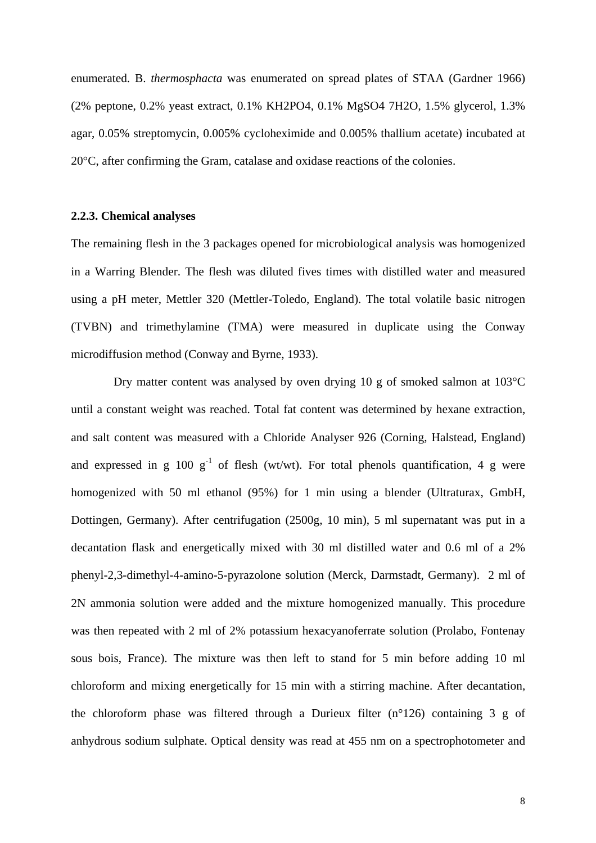enumerated. B. *thermosphacta* was enumerated on spread plates of STAA (Gardner 1966) (2% peptone, 0.2% yeast extract, 0.1% KH2PO4, 0.1% MgSO4 7H2O, 1.5% glycerol, 1.3% agar, 0.05% streptomycin, 0.005% cycloheximide and 0.005% thallium acetate) incubated at 20°C, after confirming the Gram, catalase and oxidase reactions of the colonies.

#### **2.2.3. Chemical analyses**

The remaining flesh in the 3 packages opened for microbiological analysis was homogenized in a Warring Blender. The flesh was diluted fives times with distilled water and measured using a pH meter, Mettler 320 (Mettler-Toledo, England). The total volatile basic nitrogen (TVBN) and trimethylamine (TMA) were measured in duplicate using the Conway microdiffusion method (Conway and Byrne, 1933).

Dry matter content was analysed by oven drying 10 g of smoked salmon at 103°C until a constant weight was reached. Total fat content was determined by hexane extraction, and salt content was measured with a Chloride Analyser 926 (Corning, Halstead, England) and expressed in g 100  $g^{-1}$  of flesh (wt/wt). For total phenols quantification, 4 g were homogenized with 50 ml ethanol (95%) for 1 min using a blender (Ultraturax, GmbH, Dottingen, Germany). After centrifugation (2500g, 10 min), 5 ml supernatant was put in a decantation flask and energetically mixed with 30 ml distilled water and 0.6 ml of a 2% phenyl-2,3-dimethyl-4-amino-5-pyrazolone solution (Merck, Darmstadt, Germany). 2 ml of 2N ammonia solution were added and the mixture homogenized manually. This procedure was then repeated with 2 ml of 2% potassium hexacyanoferrate solution (Prolabo, Fontenay sous bois, France). The mixture was then left to stand for 5 min before adding 10 ml chloroform and mixing energetically for 15 min with a stirring machine. After decantation, the chloroform phase was filtered through a Durieux filter (n°126) containing 3 g of anhydrous sodium sulphate. Optical density was read at 455 nm on a spectrophotometer and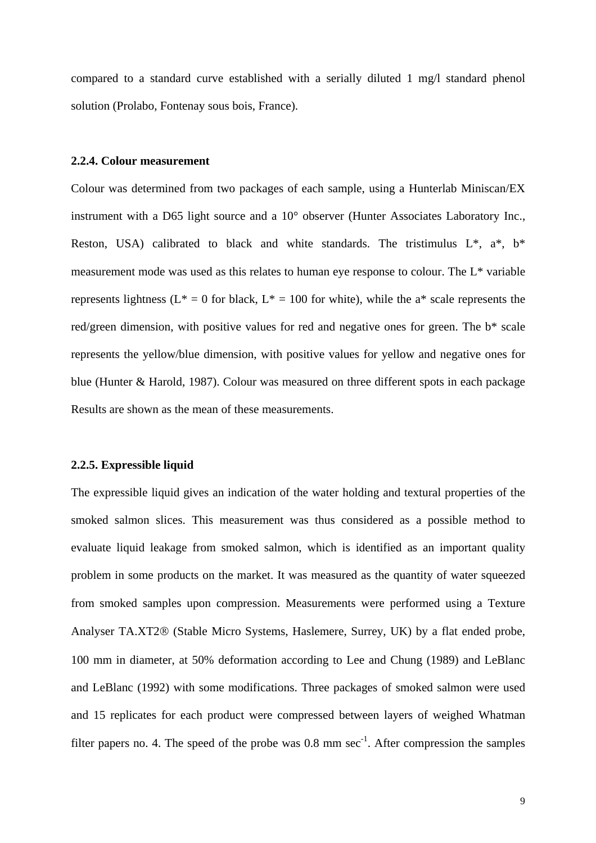compared to a standard curve established with a serially diluted 1 mg/l standard phenol solution (Prolabo, Fontenay sous bois, France).

# **2.2.4. Colour measurement**

Colour was determined from two packages of each sample, using a Hunterlab Miniscan/EX instrument with a D65 light source and a 10° observer (Hunter Associates Laboratory Inc., Reston, USA) calibrated to black and white standards. The tristimulus  $L^*$ ,  $a^*$ ,  $b^*$ measurement mode was used as this relates to human eye response to colour. The L\* variable represents lightness ( $L^* = 0$  for black,  $L^* = 100$  for white), while the a<sup>\*</sup> scale represents the red/green dimension, with positive values for red and negative ones for green. The b\* scale represents the yellow/blue dimension, with positive values for yellow and negative ones for blue (Hunter & Harold, 1987). Colour was measured on three different spots in each package Results are shown as the mean of these measurements.

# **2.2.5. Expressible liquid**

The expressible liquid gives an indication of the water holding and textural properties of the smoked salmon slices. This measurement was thus considered as a possible method to evaluate liquid leakage from smoked salmon, which is identified as an important quality problem in some products on the market. It was measured as the quantity of water squeezed from smoked samples upon compression. Measurements were performed using a Texture Analyser TA.XT2® (Stable Micro Systems, Haslemere, Surrey, UK) by a flat ended probe, 100 mm in diameter, at 50% deformation according to Lee and Chung (1989) and LeBlanc and LeBlanc (1992) with some modifications. Three packages of smoked salmon were used and 15 replicates for each product were compressed between layers of weighed Whatman filter papers no. 4. The speed of the probe was  $0.8 \text{ mm} \text{ sec}^{-1}$ . After compression the samples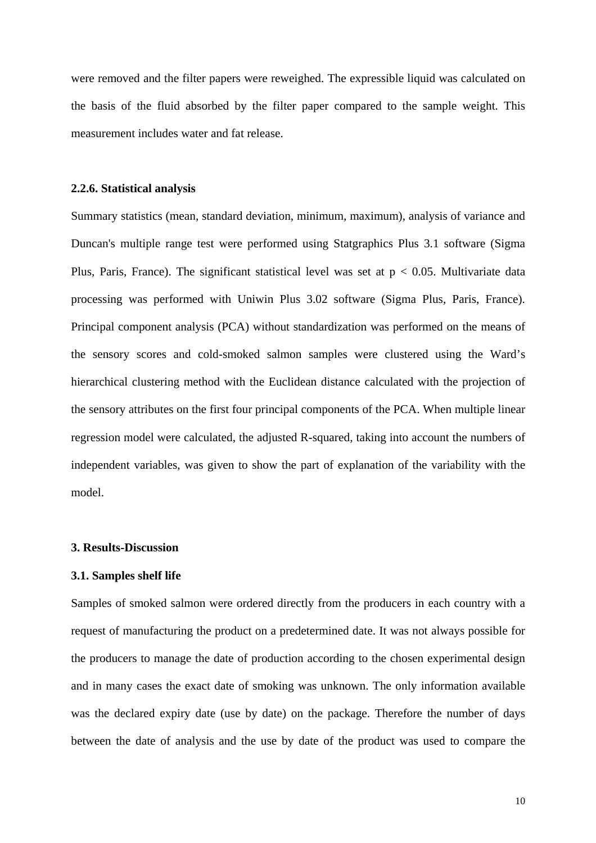were removed and the filter papers were reweighed. The expressible liquid was calculated on the basis of the fluid absorbed by the filter paper compared to the sample weight. This measurement includes water and fat release.

#### **2.2.6. Statistical analysis**

Summary statistics (mean, standard deviation, minimum, maximum), analysis of variance and Duncan's multiple range test were performed using Statgraphics Plus 3.1 software (Sigma Plus, Paris, France). The significant statistical level was set at  $p < 0.05$ . Multivariate data processing was performed with Uniwin Plus 3.02 software (Sigma Plus, Paris, France). Principal component analysis (PCA) without standardization was performed on the means of the sensory scores and cold-smoked salmon samples were clustered using the Ward's hierarchical clustering method with the Euclidean distance calculated with the projection of the sensory attributes on the first four principal components of the PCA. When multiple linear regression model were calculated, the adjusted R-squared, taking into account the numbers of independent variables, was given to show the part of explanation of the variability with the model.

#### **3. Results-Discussion**

#### **3.1. Samples shelf life**

Samples of smoked salmon were ordered directly from the producers in each country with a request of manufacturing the product on a predetermined date. It was not always possible for the producers to manage the date of production according to the chosen experimental design and in many cases the exact date of smoking was unknown. The only information available was the declared expiry date (use by date) on the package. Therefore the number of days between the date of analysis and the use by date of the product was used to compare the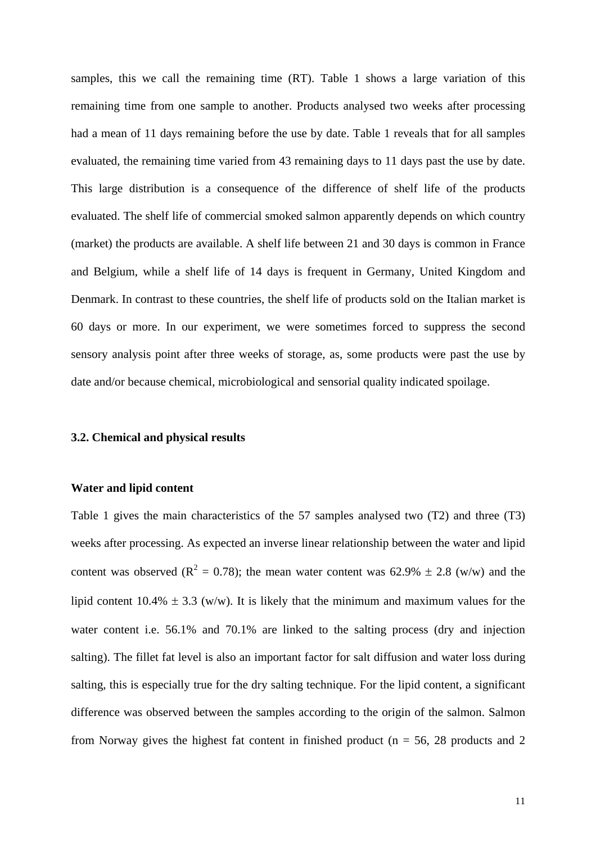samples, this we call the remaining time (RT). Table 1 shows a large variation of this remaining time from one sample to another. Products analysed two weeks after processing had a mean of 11 days remaining before the use by date. Table 1 reveals that for all samples evaluated, the remaining time varied from 43 remaining days to 11 days past the use by date. This large distribution is a consequence of the difference of shelf life of the products evaluated. The shelf life of commercial smoked salmon apparently depends on which country (market) the products are available. A shelf life between 21 and 30 days is common in France and Belgium, while a shelf life of 14 days is frequent in Germany, United Kingdom and Denmark. In contrast to these countries, the shelf life of products sold on the Italian market is 60 days or more. In our experiment, we were sometimes forced to suppress the second sensory analysis point after three weeks of storage, as, some products were past the use by date and/or because chemical, microbiological and sensorial quality indicated spoilage.

#### **3.2. Chemical and physical results**

## **Water and lipid content**

Table 1 gives the main characteristics of the 57 samples analysed two (T2) and three (T3) weeks after processing. As expected an inverse linear relationship between the water and lipid content was observed ( $R^2 = 0.78$ ); the mean water content was 62.9%  $\pm$  2.8 (w/w) and the lipid content  $10.4\% \pm 3.3$  (w/w). It is likely that the minimum and maximum values for the water content i.e. 56.1% and 70.1% are linked to the salting process (dry and injection salting). The fillet fat level is also an important factor for salt diffusion and water loss during salting, this is especially true for the dry salting technique. For the lipid content, a significant difference was observed between the samples according to the origin of the salmon. Salmon from Norway gives the highest fat content in finished product ( $n = 56$ , 28 products and 2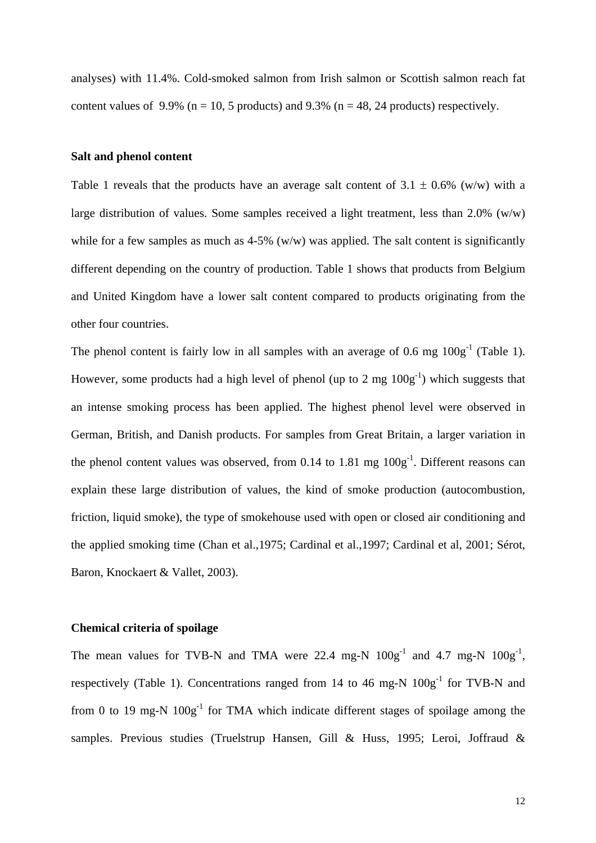analyses) with 11.4%. Cold-smoked salmon from Irish salmon or Scottish salmon reach fat content values of 9.9% ( $n = 10$ , 5 products) and 9.3% ( $n = 48$ , 24 products) respectively.

#### **Salt and phenol content**

Table 1 reveals that the products have an average salt content of  $3.1 \pm 0.6\%$  (w/w) with a large distribution of values. Some samples received a light treatment, less than 2.0% (w/w) while for a few samples as much as  $4-5\%$  (w/w) was applied. The salt content is significantly different depending on the country of production. Table 1 shows that products from Belgium and United Kingdom have a lower salt content compared to products originating from the other four countries.

The phenol content is fairly low in all samples with an average of 0.6 mg  $100g^{-1}$  (Table 1). However, some products had a high level of phenol (up to 2 mg  $100g^{-1}$ ) which suggests that an intense smoking process has been applied. The highest phenol level were observed in German, British, and Danish products. For samples from Great Britain, a larger variation in the phenol content values was observed, from 0.14 to 1.81 mg  $100g^{-1}$ . Different reasons can explain these large distribution of values, the kind of smoke production (autocombustion, friction, liquid smoke), the type of smokehouse used with open or closed air conditioning and the applied smoking time (Chan et al.,1975; Cardinal et al.,1997; Cardinal et al, 2001; Sérot, Baron, Knockaert & Vallet, 2003).

## **Chemical criteria of spoilage**

The mean values for TVB-N and TMA were 22.4 mg-N  $100g^{-1}$  and 4.7 mg-N  $100g^{-1}$ , respectively (Table 1). Concentrations ranged from 14 to 46 mg-N  $100g^{-1}$  for TVB-N and from 0 to 19 mg-N  $100g^{-1}$  for TMA which indicate different stages of spoilage among the samples. Previous studies (Truelstrup Hansen, Gill & Huss, 1995; Leroi, Joffraud &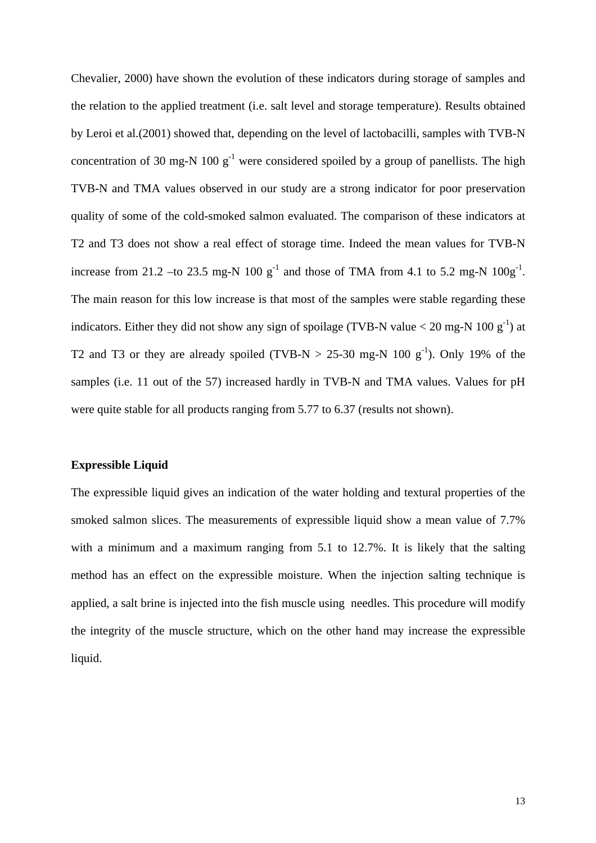Chevalier, 2000) have shown the evolution of these indicators during storage of samples and the relation to the applied treatment (i.e. salt level and storage temperature). Results obtained by Leroi et al.(2001) showed that, depending on the level of lactobacilli, samples with TVB-N concentration of 30 mg-N 100  $g^{-1}$  were considered spoiled by a group of panellists. The high TVB-N and TMA values observed in our study are a strong indicator for poor preservation quality of some of the cold-smoked salmon evaluated. The comparison of these indicators at T2 and T3 does not show a real effect of storage time. Indeed the mean values for TVB-N increase from 21.2 –to 23.5 mg-N 100  $g^{-1}$  and those of TMA from 4.1 to 5.2 mg-N 100 $g^{-1}$ . The main reason for this low increase is that most of the samples were stable regarding these indicators. Either they did not show any sign of spoilage (TVB-N value  $<$  20 mg-N 100 g<sup>-1</sup>) at T2 and T3 or they are already spoiled (TVB-N  $> 25-30$  mg-N 100 g<sup>-1</sup>). Only 19% of the samples (i.e. 11 out of the 57) increased hardly in TVB-N and TMA values. Values for pH were quite stable for all products ranging from 5.77 to 6.37 (results not shown).

# **Expressible Liquid**

The expressible liquid gives an indication of the water holding and textural properties of the smoked salmon slices. The measurements of expressible liquid show a mean value of 7.7% with a minimum and a maximum ranging from 5.1 to 12.7%. It is likely that the salting method has an effect on the expressible moisture. When the injection salting technique is applied, a salt brine is injected into the fish muscle using needles. This procedure will modify the integrity of the muscle structure, which on the other hand may increase the expressible liquid.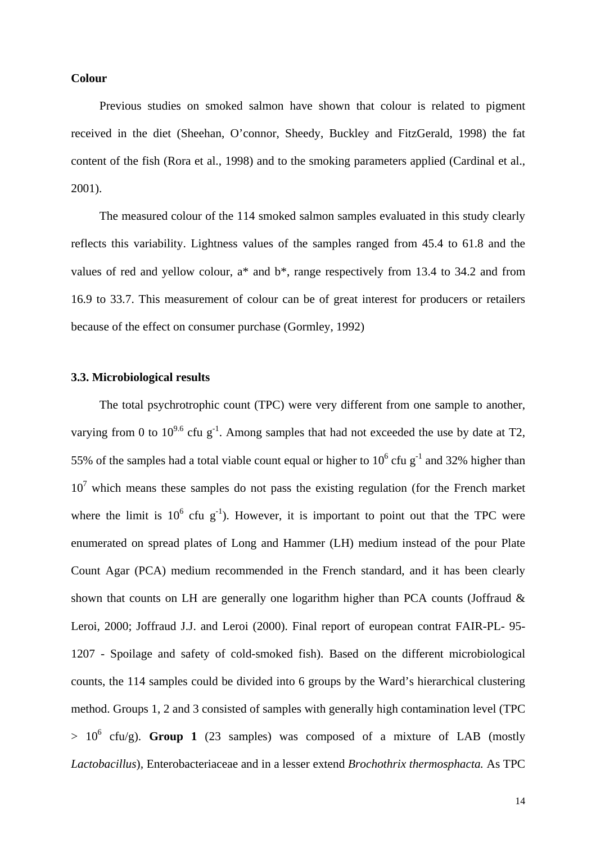## **Colour**

Previous studies on smoked salmon have shown that colour is related to pigment received in the diet (Sheehan, O'connor, Sheedy, Buckley and FitzGerald, 1998) the fat content of the fish (Rora et al., 1998) and to the smoking parameters applied (Cardinal et al., 2001).

The measured colour of the 114 smoked salmon samples evaluated in this study clearly reflects this variability. Lightness values of the samples ranged from 45.4 to 61.8 and the values of red and yellow colour,  $a^*$  and  $b^*$ , range respectively from 13.4 to 34.2 and from 16.9 to 33.7. This measurement of colour can be of great interest for producers or retailers because of the effect on consumer purchase (Gormley, 1992)

# **3.3. Microbiological results**

The total psychrotrophic count (TPC) were very different from one sample to another, varying from 0 to  $10^{9.6}$  cfu g<sup>-1</sup>. Among samples that had not exceeded the use by date at T2, 55% of the samples had a total viable count equal or higher to  $10^6$  cfu g<sup>-1</sup> and 32% higher than  $10<sup>7</sup>$  which means these samples do not pass the existing regulation (for the French market where the limit is  $10^6$  cfu g<sup>-1</sup>). However, it is important to point out that the TPC were enumerated on spread plates of Long and Hammer (LH) medium instead of the pour Plate Count Agar (PCA) medium recommended in the French standard, and it has been clearly shown that counts on LH are generally one logarithm higher than PCA counts (Joffraud & Leroi, 2000; Joffraud J.J. and Leroi (2000). Final report of european contrat FAIR-PL- 95- 1207 - Spoilage and safety of cold-smoked fish). Based on the different microbiological counts, the 114 samples could be divided into 6 groups by the Ward's hierarchical clustering method. Groups 1, 2 and 3 consisted of samples with generally high contamination level (TPC  $> 10^6$  cfu/g). **Group 1** (23 samples) was composed of a mixture of LAB (mostly *Lactobacillus*)*,* Enterobacteriaceae and in a lesser extend *Brochothrix thermosphacta.* As TPC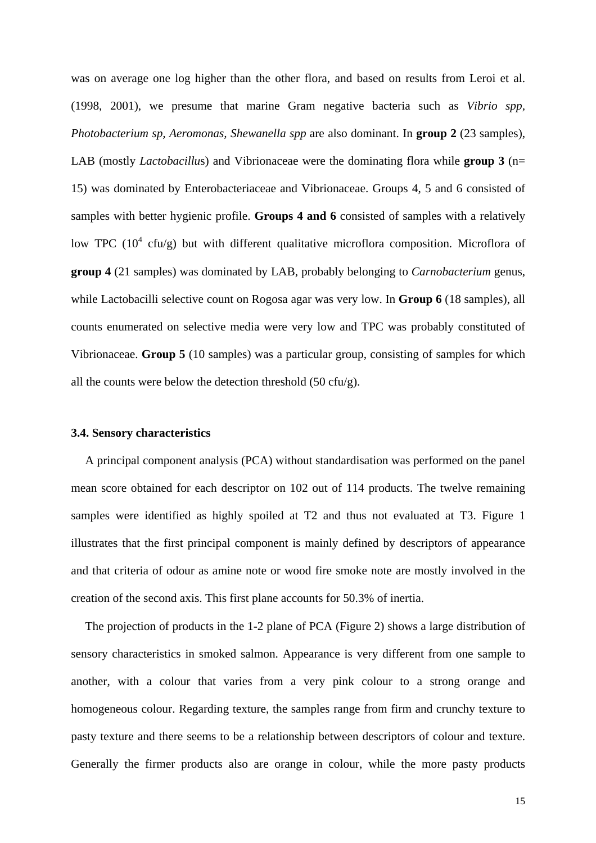was on average one log higher than the other flora, and based on results from Leroi et al. (1998, 2001), we presume that marine Gram negative bacteria such as *Vibrio spp, Photobacterium sp, Aeromonas, Shewanella spp* are also dominant. In **group 2** (23 samples), LAB (mostly *Lactobacillu*s) and Vibrionaceae were the dominating flora while **group 3** (n= 15) was dominated by Enterobacteriaceae and Vibrionaceae. Groups 4, 5 and 6 consisted of samples with better hygienic profile. **Groups 4 and 6** consisted of samples with a relatively low TPC ( $10^4$  cfu/g) but with different qualitative microflora composition. Microflora of **group 4** (21 samples) was dominated by LAB, probably belonging to *Carnobacterium* genus, while Lactobacilli selective count on Rogosa agar was very low. In **Group 6** (18 samples), all counts enumerated on selective media were very low and TPC was probably constituted of Vibrionaceae. **Group 5** (10 samples) was a particular group, consisting of samples for which all the counts were below the detection threshold  $(50 \text{ cfu/g})$ .

## **3.4. Sensory characteristics**

A principal component analysis (PCA) without standardisation was performed on the panel mean score obtained for each descriptor on 102 out of 114 products. The twelve remaining samples were identified as highly spoiled at T2 and thus not evaluated at T3. Figure 1 illustrates that the first principal component is mainly defined by descriptors of appearance and that criteria of odour as amine note or wood fire smoke note are mostly involved in the creation of the second axis. This first plane accounts for 50.3% of inertia.

The projection of products in the 1-2 plane of PCA (Figure 2) shows a large distribution of sensory characteristics in smoked salmon. Appearance is very different from one sample to another, with a colour that varies from a very pink colour to a strong orange and homogeneous colour. Regarding texture, the samples range from firm and crunchy texture to pasty texture and there seems to be a relationship between descriptors of colour and texture. Generally the firmer products also are orange in colour, while the more pasty products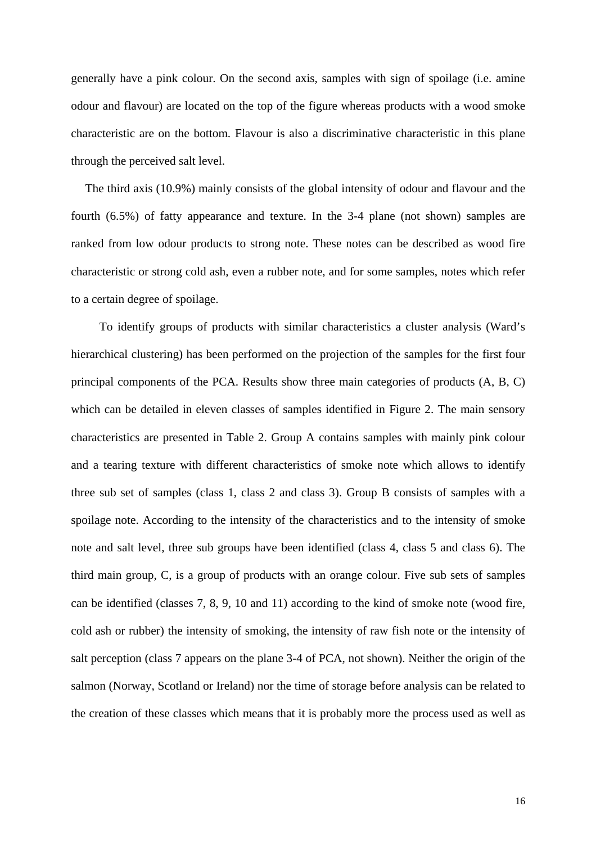generally have a pink colour. On the second axis, samples with sign of spoilage (i.e. amine odour and flavour) are located on the top of the figure whereas products with a wood smoke characteristic are on the bottom. Flavour is also a discriminative characteristic in this plane through the perceived salt level.

The third axis (10.9%) mainly consists of the global intensity of odour and flavour and the fourth (6.5%) of fatty appearance and texture. In the 3-4 plane (not shown) samples are ranked from low odour products to strong note. These notes can be described as wood fire characteristic or strong cold ash, even a rubber note, and for some samples, notes which refer to a certain degree of spoilage.

To identify groups of products with similar characteristics a cluster analysis (Ward's hierarchical clustering) has been performed on the projection of the samples for the first four principal components of the PCA. Results show three main categories of products (A, B, C) which can be detailed in eleven classes of samples identified in Figure 2. The main sensory characteristics are presented in Table 2. Group A contains samples with mainly pink colour and a tearing texture with different characteristics of smoke note which allows to identify three sub set of samples (class 1, class 2 and class 3). Group B consists of samples with a spoilage note. According to the intensity of the characteristics and to the intensity of smoke note and salt level, three sub groups have been identified (class 4, class 5 and class 6). The third main group, C, is a group of products with an orange colour. Five sub sets of samples can be identified (classes 7, 8, 9, 10 and 11) according to the kind of smoke note (wood fire, cold ash or rubber) the intensity of smoking, the intensity of raw fish note or the intensity of salt perception (class 7 appears on the plane 3-4 of PCA, not shown). Neither the origin of the salmon (Norway, Scotland or Ireland) nor the time of storage before analysis can be related to the creation of these classes which means that it is probably more the process used as well as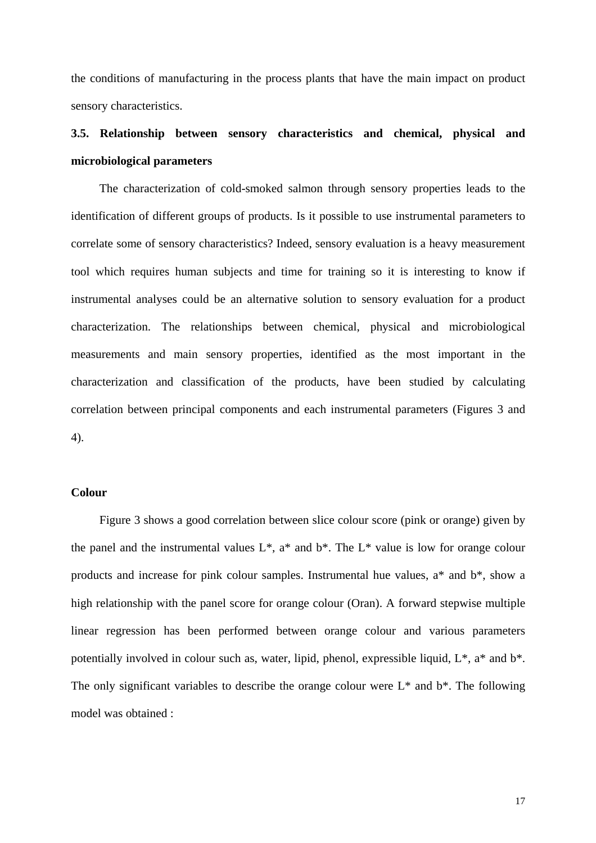the conditions of manufacturing in the process plants that have the main impact on product sensory characteristics.

# **3.5. Relationship between sensory characteristics and chemical, physical and microbiological parameters**

The characterization of cold-smoked salmon through sensory properties leads to the identification of different groups of products. Is it possible to use instrumental parameters to correlate some of sensory characteristics? Indeed, sensory evaluation is a heavy measurement tool which requires human subjects and time for training so it is interesting to know if instrumental analyses could be an alternative solution to sensory evaluation for a product characterization. The relationships between chemical, physical and microbiological measurements and main sensory properties, identified as the most important in the characterization and classification of the products, have been studied by calculating correlation between principal components and each instrumental parameters (Figures 3 and 4).

# **Colour**

Figure 3 shows a good correlation between slice colour score (pink or orange) given by the panel and the instrumental values  $L^*$ ,  $a^*$  and  $b^*$ . The  $L^*$  value is low for orange colour products and increase for pink colour samples. Instrumental hue values, a\* and b\*, show a high relationship with the panel score for orange colour (Oran). A forward stepwise multiple linear regression has been performed between orange colour and various parameters potentially involved in colour such as, water, lipid, phenol, expressible liquid, L\*, a\* and b\*. The only significant variables to describe the orange colour were  $L^*$  and  $b^*$ . The following model was obtained :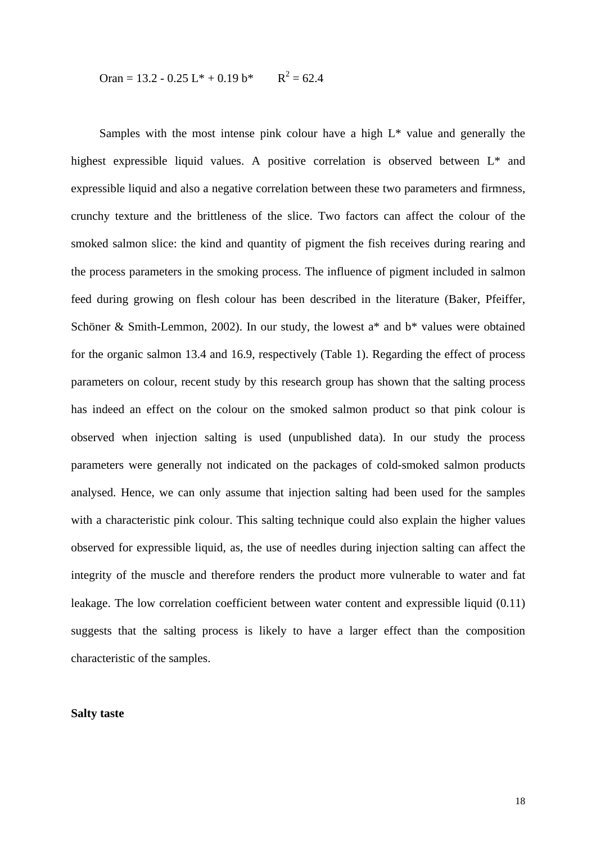$$
Oran = 13.2 - 0.25 L^* + 0.19 b^* \qquad R^2 = 62.4
$$

Samples with the most intense pink colour have a high L\* value and generally the highest expressible liquid values. A positive correlation is observed between L\* and expressible liquid and also a negative correlation between these two parameters and firmness, crunchy texture and the brittleness of the slice. Two factors can affect the colour of the smoked salmon slice: the kind and quantity of pigment the fish receives during rearing and the process parameters in the smoking process. The influence of pigment included in salmon feed during growing on flesh colour has been described in the literature (Baker, Pfeiffer, Schöner & Smith-Lemmon, 2002). In our study, the lowest a\* and b\* values were obtained for the organic salmon 13.4 and 16.9, respectively (Table 1). Regarding the effect of process parameters on colour, recent study by this research group has shown that the salting process has indeed an effect on the colour on the smoked salmon product so that pink colour is observed when injection salting is used (unpublished data). In our study the process parameters were generally not indicated on the packages of cold-smoked salmon products analysed. Hence, we can only assume that injection salting had been used for the samples with a characteristic pink colour. This salting technique could also explain the higher values observed for expressible liquid, as, the use of needles during injection salting can affect the integrity of the muscle and therefore renders the product more vulnerable to water and fat leakage. The low correlation coefficient between water content and expressible liquid (0.11) suggests that the salting process is likely to have a larger effect than the composition characteristic of the samples.

#### **Salty taste**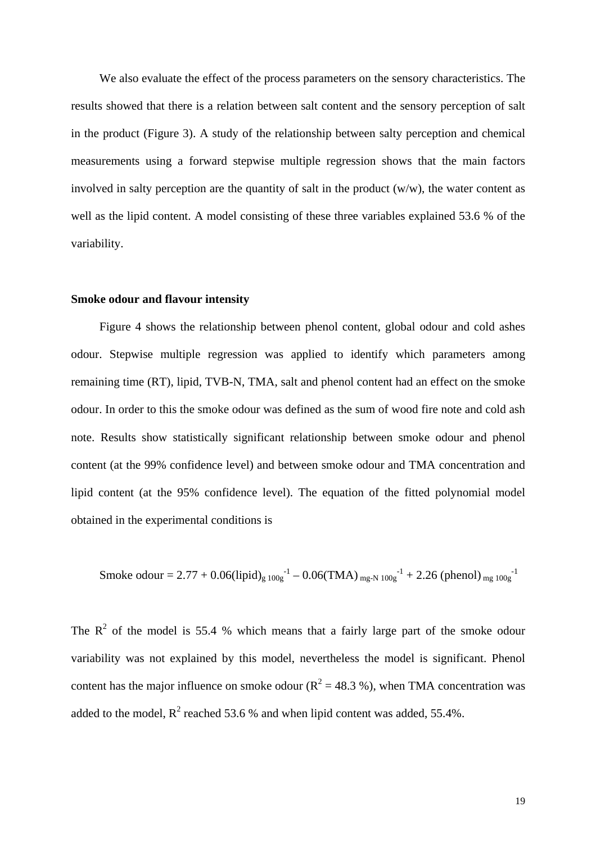We also evaluate the effect of the process parameters on the sensory characteristics. The results showed that there is a relation between salt content and the sensory perception of salt in the product (Figure 3). A study of the relationship between salty perception and chemical measurements using a forward stepwise multiple regression shows that the main factors involved in salty perception are the quantity of salt in the product (w/w), the water content as well as the lipid content. A model consisting of these three variables explained 53.6 % of the variability.

#### **Smoke odour and flavour intensity**

Figure 4 shows the relationship between phenol content, global odour and cold ashes odour. Stepwise multiple regression was applied to identify which parameters among remaining time (RT), lipid, TVB-N, TMA, salt and phenol content had an effect on the smoke odour. In order to this the smoke odour was defined as the sum of wood fire note and cold ash note. Results show statistically significant relationship between smoke odour and phenol content (at the 99% confidence level) and between smoke odour and TMA concentration and lipid content (at the 95% confidence level). The equation of the fitted polynomial model obtained in the experimental conditions is

Smoke odour = 2.77 + 0.06(lipid)<sub>g 100g</sub><sup>-1</sup> – 0.06(TMA)
$$
_{mg-N 100g}^{-1}
$$
 + 2.26 (phenol) $_{mg 100g}^{-1}$ 

The  $R^2$  of the model is 55.4 % which means that a fairly large part of the smoke odour variability was not explained by this model, nevertheless the model is significant. Phenol content has the major influence on smoke odour ( $R^2 = 48.3$  %), when TMA concentration was added to the model,  $R^2$  reached 53.6 % and when lipid content was added, 55.4%.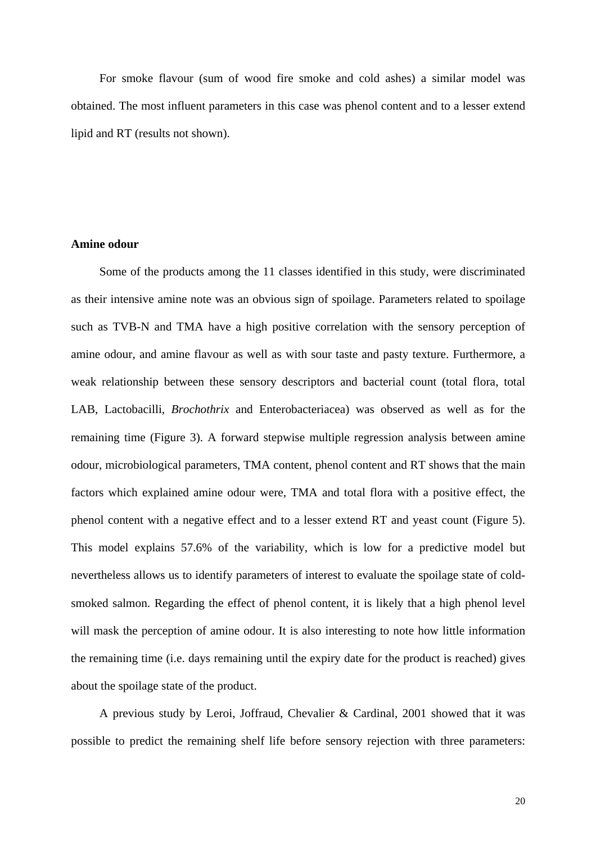For smoke flavour (sum of wood fire smoke and cold ashes) a similar model was obtained. The most influent parameters in this case was phenol content and to a lesser extend lipid and RT (results not shown).

# **Amine odour**

Some of the products among the 11 classes identified in this study, were discriminated as their intensive amine note was an obvious sign of spoilage. Parameters related to spoilage such as TVB-N and TMA have a high positive correlation with the sensory perception of amine odour, and amine flavour as well as with sour taste and pasty texture. Furthermore, a weak relationship between these sensory descriptors and bacterial count (total flora, total LAB, Lactobacilli*, Brochothrix* and Enterobacteriacea) was observed as well as for the remaining time (Figure 3). A forward stepwise multiple regression analysis between amine odour, microbiological parameters, TMA content, phenol content and RT shows that the main factors which explained amine odour were, TMA and total flora with a positive effect, the phenol content with a negative effect and to a lesser extend RT and yeast count (Figure 5). This model explains 57.6% of the variability, which is low for a predictive model but nevertheless allows us to identify parameters of interest to evaluate the spoilage state of coldsmoked salmon. Regarding the effect of phenol content, it is likely that a high phenol level will mask the perception of amine odour. It is also interesting to note how little information the remaining time (i.e. days remaining until the expiry date for the product is reached) gives about the spoilage state of the product.

A previous study by Leroi, Joffraud, Chevalier & Cardinal, 2001 showed that it was possible to predict the remaining shelf life before sensory rejection with three parameters: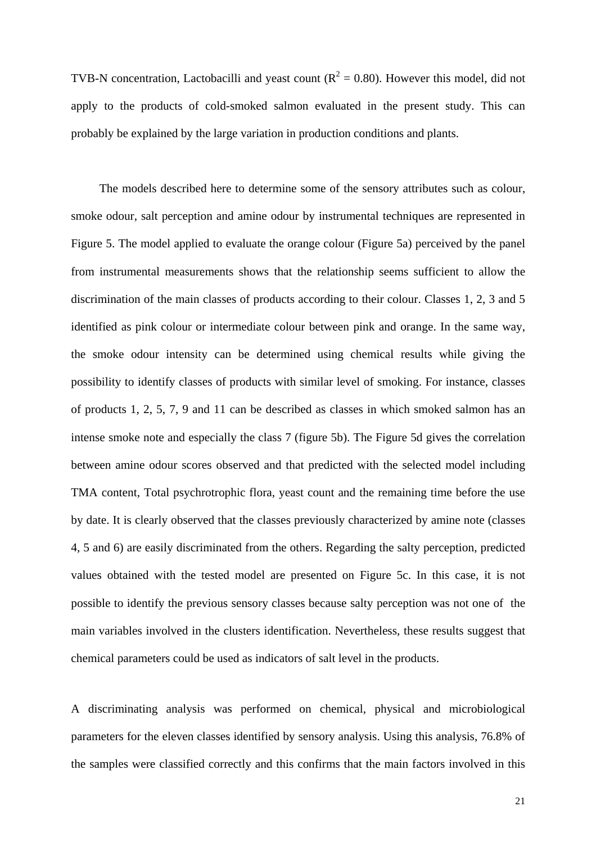TVB-N concentration, Lactobacilli and yeast count ( $R^2 = 0.80$ ). However this model, did not apply to the products of cold-smoked salmon evaluated in the present study. This can probably be explained by the large variation in production conditions and plants.

The models described here to determine some of the sensory attributes such as colour, smoke odour, salt perception and amine odour by instrumental techniques are represented in Figure 5. The model applied to evaluate the orange colour (Figure 5a) perceived by the panel from instrumental measurements shows that the relationship seems sufficient to allow the discrimination of the main classes of products according to their colour. Classes 1, 2, 3 and 5 identified as pink colour or intermediate colour between pink and orange. In the same way, the smoke odour intensity can be determined using chemical results while giving the possibility to identify classes of products with similar level of smoking. For instance, classes of products 1, 2, 5, 7, 9 and 11 can be described as classes in which smoked salmon has an intense smoke note and especially the class 7 (figure 5b). The Figure 5d gives the correlation between amine odour scores observed and that predicted with the selected model including TMA content, Total psychrotrophic flora, yeast count and the remaining time before the use by date. It is clearly observed that the classes previously characterized by amine note (classes 4, 5 and 6) are easily discriminated from the others. Regarding the salty perception, predicted values obtained with the tested model are presented on Figure 5c. In this case, it is not possible to identify the previous sensory classes because salty perception was not one of the main variables involved in the clusters identification. Nevertheless, these results suggest that chemical parameters could be used as indicators of salt level in the products.

A discriminating analysis was performed on chemical, physical and microbiological parameters for the eleven classes identified by sensory analysis. Using this analysis, 76.8% of the samples were classified correctly and this confirms that the main factors involved in this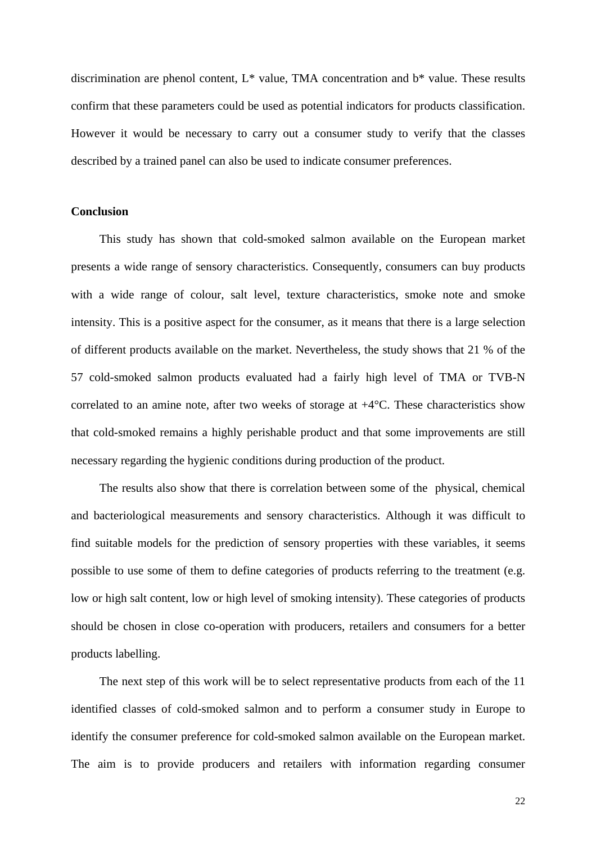discrimination are phenol content, L\* value, TMA concentration and b\* value. These results confirm that these parameters could be used as potential indicators for products classification. However it would be necessary to carry out a consumer study to verify that the classes described by a trained panel can also be used to indicate consumer preferences.

#### **Conclusion**

This study has shown that cold-smoked salmon available on the European market presents a wide range of sensory characteristics. Consequently, consumers can buy products with a wide range of colour, salt level, texture characteristics, smoke note and smoke intensity. This is a positive aspect for the consumer, as it means that there is a large selection of different products available on the market. Nevertheless, the study shows that 21 % of the 57 cold-smoked salmon products evaluated had a fairly high level of TMA or TVB-N correlated to an amine note, after two weeks of storage at  $+4^{\circ}C$ . These characteristics show that cold-smoked remains a highly perishable product and that some improvements are still necessary regarding the hygienic conditions during production of the product.

The results also show that there is correlation between some of the physical, chemical and bacteriological measurements and sensory characteristics. Although it was difficult to find suitable models for the prediction of sensory properties with these variables, it seems possible to use some of them to define categories of products referring to the treatment (e.g. low or high salt content, low or high level of smoking intensity). These categories of products should be chosen in close co-operation with producers, retailers and consumers for a better products labelling.

The next step of this work will be to select representative products from each of the 11 identified classes of cold-smoked salmon and to perform a consumer study in Europe to identify the consumer preference for cold-smoked salmon available on the European market. The aim is to provide producers and retailers with information regarding consumer

22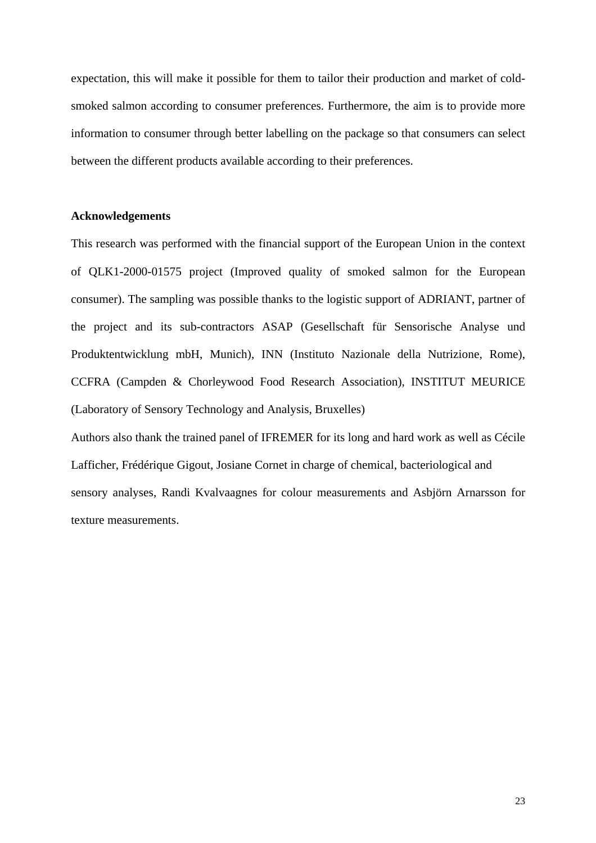expectation, this will make it possible for them to tailor their production and market of coldsmoked salmon according to consumer preferences. Furthermore, the aim is to provide more information to consumer through better labelling on the package so that consumers can select between the different products available according to their preferences.

#### **Acknowledgements**

This research was performed with the financial support of the European Union in the context of QLK1-2000-01575 project (Improved quality of smoked salmon for the European consumer). The sampling was possible thanks to the logistic support of ADRIANT, partner of the project and its sub-contractors ASAP (Gesellschaft für Sensorische Analyse und Produktentwicklung mbH, Munich), INN (Instituto Nazionale della Nutrizione, Rome), CCFRA (Campden & Chorleywood Food Research Association), INSTITUT MEURICE (Laboratory of Sensory Technology and Analysis, Bruxelles)

Authors also thank the trained panel of IFREMER for its long and hard work as well as Cécile Lafficher, Frédérique Gigout, Josiane Cornet in charge of chemical, bacteriological and sensory analyses, Randi Kvalvaagnes for colour measurements and Asbjörn Arnarsson for texture measurements.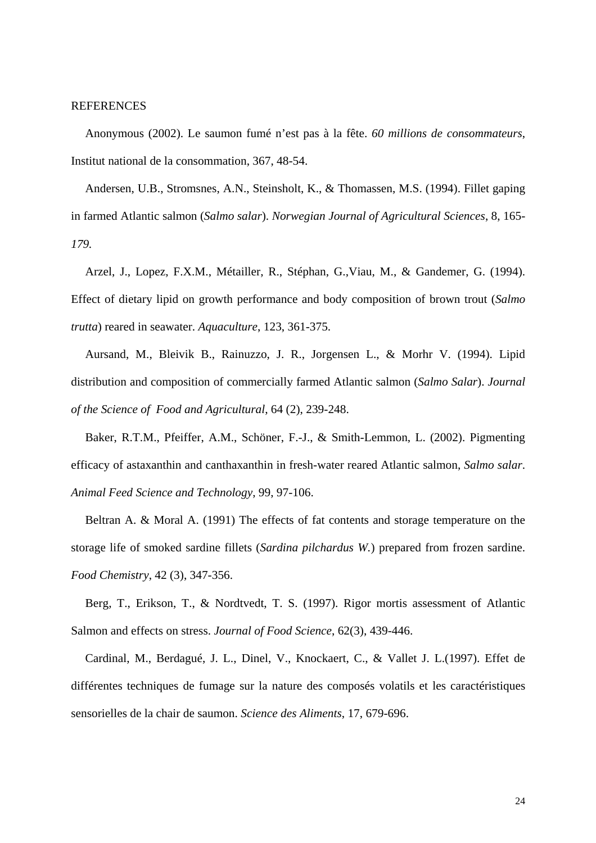# **REFERENCES**

Anonymous (2002). Le saumon fumé n'est pas à la fête. *60 millions de consommateurs*, Institut national de la consommation, 367, 48-54.

Andersen, U.B., Stromsnes, A.N., Steinsholt, K., & Thomassen, M.S. (1994). Fillet gaping in farmed Atlantic salmon (*Salmo salar*). *Norwegian Journal of Agricultural Sciences*, 8, 165*- 179.*

Arzel, J., Lopez, F.X.M., Métailler, R., Stéphan, G.,Viau, M., & Gandemer, G. (1994). Effect of dietary lipid on growth performance and body composition of brown trout (*Salmo trutta*) reared in seawater. *Aquaculture*, 123, 361-375.

Aursand, M., Bleivik B., Rainuzzo, J. R., Jorgensen L., & Morhr V. (1994). Lipid distribution and composition of commercially farmed Atlantic salmon (*Salmo Salar*). *Journal of the Science of Food and Agricultural*, 64 (2), 239-248.

Baker, R.T.M., Pfeiffer, A.M., Schöner, F.-J., & Smith-Lemmon, L. (2002). Pigmenting efficacy of astaxanthin and canthaxanthin in fresh-water reared Atlantic salmon, *Salmo salar*. *Animal Feed Science and Technology*, 99, 97-106.

Beltran A. & Moral A. (1991) The effects of fat contents and storage temperature on the storage life of smoked sardine fillets (*Sardina pilchardus W.*) prepared from frozen sardine. *Food Chemistry*, 42 (3), 347-356.

Berg, T., Erikson, T., & Nordtvedt, T. S. (1997). Rigor mortis assessment of Atlantic Salmon and effects on stress. *Journal of Food Science*, 62(3), 439-446.

Cardinal, M., Berdagué, J. L., Dinel, V., Knockaert, C., & Vallet J. L.(1997). Effet de différentes techniques de fumage sur la nature des composés volatils et les caractéristiques sensorielles de la chair de saumon. *Science des Aliments*, 17, 679-696.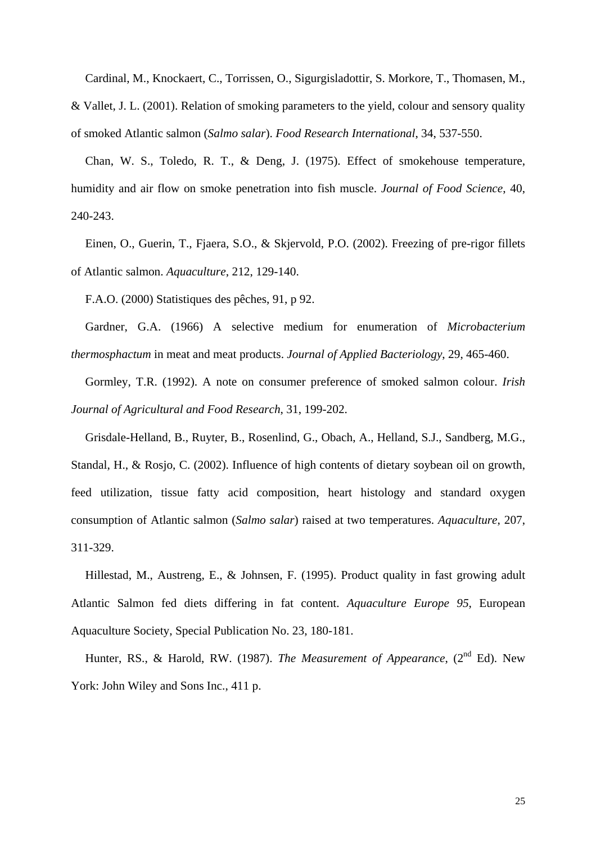Cardinal, M., Knockaert, C., Torrissen, O., Sigurgisladottir, S. Morkore, T., Thomasen, M., & Vallet, J. L. (2001). Relation of smoking parameters to the yield, colour and sensory quality of smoked Atlantic salmon (*Salmo salar*). *Food Research International*, 34, 537-550.

Chan, W. S., Toledo, R. T., & Deng, J. (1975). Effect of smokehouse temperature, humidity and air flow on smoke penetration into fish muscle. *Journal of Food Science*, 40, 240-243.

Einen, O., Guerin, T., Fjaera, S.O., & Skjervold, P.O. (2002). Freezing of pre-rigor fillets of Atlantic salmon. *Aquaculture*, 212, 129-140.

F.A.O. (2000) Statistiques des pêches, 91, p 92.

Gardner, G.A. (1966) A selective medium for enumeration of *Microbacterium thermosphactum* in meat and meat products. *Journal of Applied Bacteriology*, 29, 465-460.

Gormley, T.R. (1992). A note on consumer preference of smoked salmon colour. *Irish Journal of Agricultural and Food Research*, 31, 199-202.

Grisdale-Helland, B., Ruyter, B., Rosenlind, G., Obach, A., Helland, S.J., Sandberg, M.G., Standal, H., & Rosjo, C. (2002). Influence of high contents of dietary soybean oil on growth, feed utilization, tissue fatty acid composition, heart histology and standard oxygen consumption of Atlantic salmon (*Salmo salar*) raised at two temperatures. *Aquaculture*, 207, 311-329.

Hillestad, M., Austreng, E., & Johnsen, F. (1995). Product quality in fast growing adult Atlantic Salmon fed diets differing in fat content. *Aquaculture Europe 95*, European Aquaculture Society, Special Publication No. 23, 180-181.

Hunter, RS., & Harold, RW. (1987). *The Measurement of Appearance*, (2<sup>nd</sup> Ed). New York: John Wiley and Sons Inc., 411 p.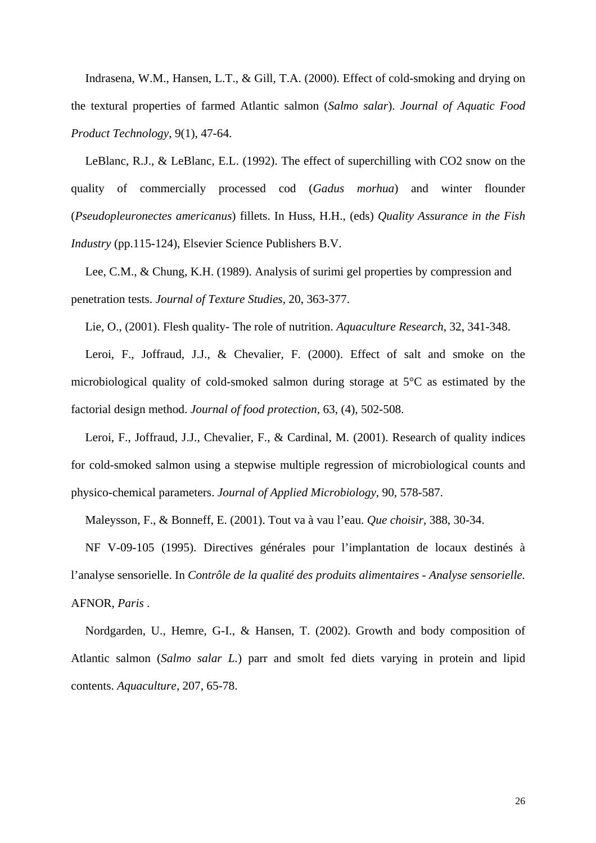Indrasena, W.M., Hansen, L.T., & Gill, T.A. (2000). Effect of cold-smoking and drying on the textural properties of farmed Atlantic salmon (*Salmo salar*). *Journal of Aquatic Food Product Technology*, 9(1), 47-64.

LeBlanc, R.J., & LeBlanc, E.L. (1992). The effect of superchilling with CO2 snow on the quality of commercially processed cod (*Gadus morhua*) and winter flounder (*Pseudopleuronectes americanus*) fillets. In Huss, H.H., (eds) *Quality Assurance in the Fish Industry* (pp.115-124), Elsevier Science Publishers B.V.

Lee, C.M., & Chung, K.H. (1989). Analysis of surimi gel properties by compression and penetration tests. *Journal of Texture Studies*, 20, 363-377.

Lie, O., (2001). Flesh quality- The role of nutrition. *Aquaculture Research*, 32, 341-348.

Leroi, F., Joffraud, J.J., & Chevalier, F. (2000). Effect of salt and smoke on the microbiological quality of cold-smoked salmon during storage at 5°C as estimated by the factorial design method. *Journal of food protection*, 63, (4), 502-508.

Leroi, F., Joffraud, J.J., Chevalier, F., & Cardinal, M. (2001). Research of quality indices for cold-smoked salmon using a stepwise multiple regression of microbiological counts and physico-chemical parameters. *Journal of Applied Microbiology*, 90, 578-587.

Maleysson, F., & Bonneff, E. (2001). Tout va à vau l'eau. *Que choisir*, 388, 30-34.

NF V-09-105 (1995). Directives générales pour l'implantation de locaux destinés à l'analyse sensorielle. In *Contrôle de la qualité des produits alimentaires - Analyse sensorielle.* AFNOR, *Paris* .

Nordgarden, U., Hemre, G-I., & Hansen, T. (2002). Growth and body composition of Atlantic salmon (*Salmo salar L.*) parr and smolt fed diets varying in protein and lipid contents. *Aquaculture*, 207, 65-78.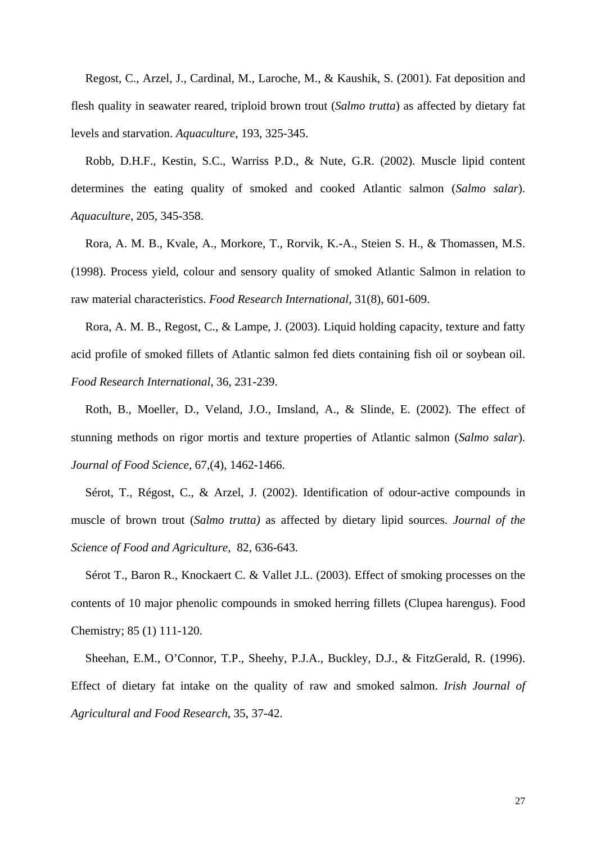Regost, C., Arzel, J., Cardinal, M., Laroche, M., & Kaushik, S. (2001). Fat deposition and flesh quality in seawater reared, triploid brown trout (*Salmo trutta*) as affected by dietary fat levels and starvation. *Aquaculture*, 193, 325-345.

Robb, D.H.F., Kestin, S.C., Warriss P.D., & Nute, G.R. (2002). Muscle lipid content determines the eating quality of smoked and cooked Atlantic salmon (*Salmo salar*). *Aquaculture*, 205, 345-358.

Rora, A. M. B., Kvale, A., Morkore, T., Rorvik, K.-A., Steien S. H., & Thomassen, M.S. (1998). Process yield, colour and sensory quality of smoked Atlantic Salmon in relation to raw material characteristics. *Food Research International*, 31(8), 601-609.

Rora, A. M. B., Regost, C., & Lampe, J. (2003). Liquid holding capacity, texture and fatty acid profile of smoked fillets of Atlantic salmon fed diets containing fish oil or soybean oil. *Food Research International*, 36, 231-239.

Roth, B., Moeller, D., Veland, J.O., Imsland, A., & Slinde, E. (2002). The effect of stunning methods on rigor mortis and texture properties of Atlantic salmon (*Salmo salar*). *Journal of Food Science*, 67,(4), 1462-1466.

Sérot, T., Régost, C., & Arzel, J. (2002). Identification of odour-active compounds in muscle of brown trout (*Salmo trutta)* as affected by dietary lipid sources. *Journal of the Science of Food and Agriculture*, 82, 636-643.

Sérot T., Baron R., Knockaert C. & Vallet J.L. (2003). Effect of smoking processes on the contents of 10 major phenolic compounds in smoked herring fillets (Clupea harengus). Food Chemistry; 85 (1) 111-120.

Sheehan, E.M., O'Connor, T.P., Sheehy, P.J.A., Buckley, D.J., & FitzGerald, R. (1996). Effect of dietary fat intake on the quality of raw and smoked salmon. *Irish Journal of Agricultural and Food Research*, 35, 37-42.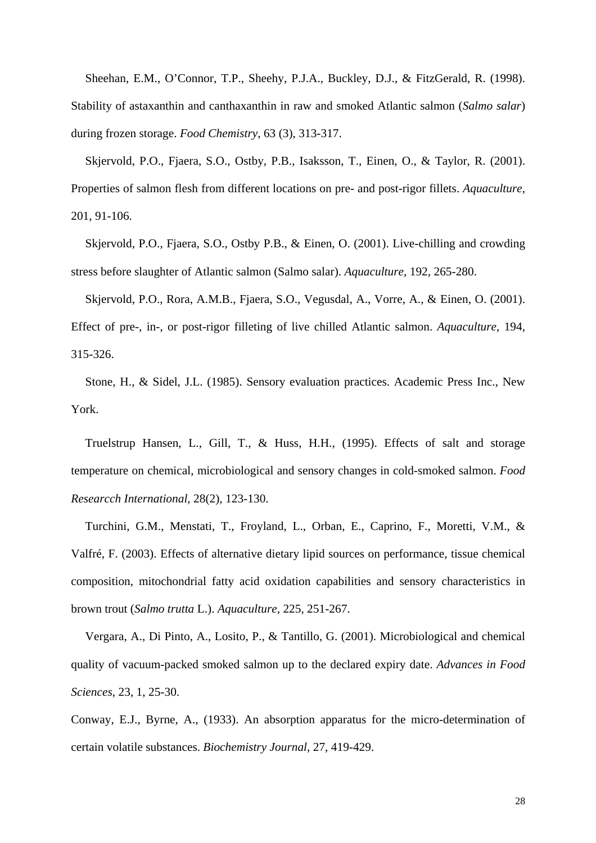Sheehan, E.M., O'Connor, T.P., Sheehy, P.J.A., Buckley, D.J., & FitzGerald, R. (1998). Stability of astaxanthin and canthaxanthin in raw and smoked Atlantic salmon (*Salmo salar*) during frozen storage. *Food Chemistry*, 63 (3), 313-317.

Skjervold, P.O., Fjaera, S.O., Ostby, P.B., Isaksson, T., Einen, O., & Taylor, R. (2001). Properties of salmon flesh from different locations on pre- and post-rigor fillets. *Aquaculture*, 201, 91-106.

Skjervold, P.O., Fjaera, S.O., Ostby P.B., & Einen, O. (2001). Live-chilling and crowding stress before slaughter of Atlantic salmon (Salmo salar). *Aquaculture*, 192, 265-280.

Skjervold, P.O., Rora, A.M.B., Fjaera, S.O., Vegusdal, A., Vorre, A., & Einen, O. (2001).

Effect of pre-, in-, or post-rigor filleting of live chilled Atlantic salmon. *Aquaculture*, 194, 315-326.

Stone, H., & Sidel, J.L. (1985). Sensory evaluation practices. Academic Press Inc., New York.

Truelstrup Hansen, L., Gill, T., & Huss, H.H., (1995). Effects of salt and storage temperature on chemical, microbiological and sensory changes in cold-smoked salmon. *Food Researcch International*, 28(2), 123-130.

Turchini, G.M., Menstati, T., Froyland, L., Orban, E., Caprino, F., Moretti, V.M., & Valfré, F. (2003). Effects of alternative dietary lipid sources on performance, tissue chemical composition, mitochondrial fatty acid oxidation capabilities and sensory characteristics in brown trout (*Salmo trutta* L.). *Aquaculture*, 225, 251-267.

Vergara, A., Di Pinto, A., Losito, P., & Tantillo, G. (2001). Microbiological and chemical quality of vacuum-packed smoked salmon up to the declared expiry date. *Advances in Food Sciences*, 23, 1, 25-30.

Conway, E.J., Byrne, A., (1933). An absorption apparatus for the micro-determination of certain volatile substances. *Biochemistry Journal*, 27, 419-429.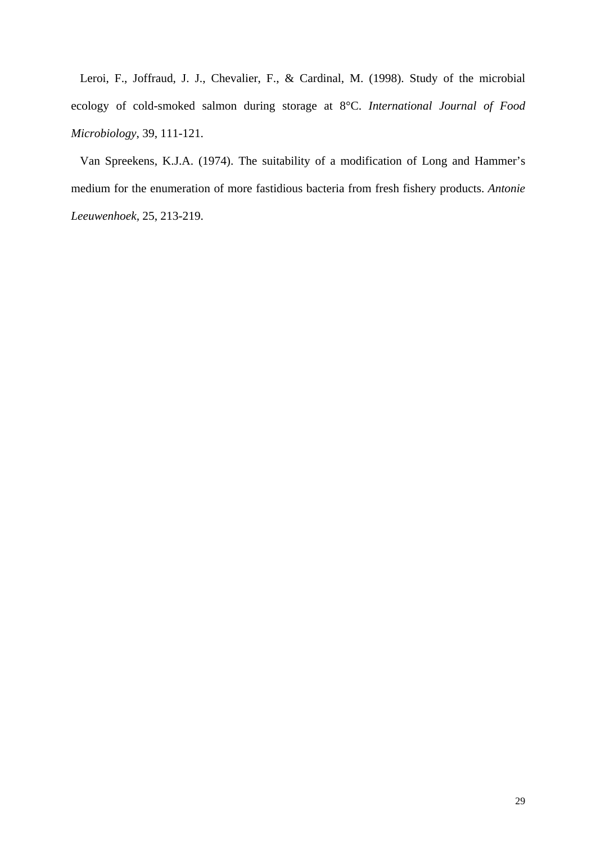Leroi, F., Joffraud, J. J., Chevalier, F., & Cardinal, M. (1998). Study of the microbial ecology of cold-smoked salmon during storage at 8°C. *International Journal of Food Microbiology*, 39, 111-121.

Van Spreekens, K.J.A. (1974). The suitability of a modification of Long and Hammer's medium for the enumeration of more fastidious bacteria from fresh fishery products. *Antonie Leeuwenhoek,* 25, 213-219.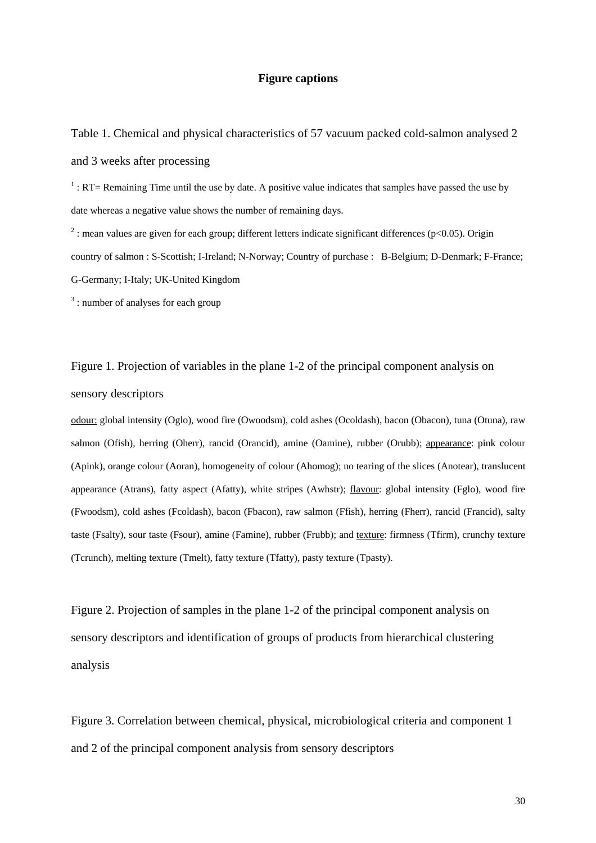# **Figure captions**

Table 1. Chemical and physical characteristics of 57 vacuum packed cold-salmon analysed 2 and 3 weeks after processing

 $<sup>1</sup>$ : RT= Remaining Time until the use by date. A positive value indicates that samples have passed the use by</sup> date whereas a negative value shows the number of remaining days.

<sup>2</sup>: mean values are given for each group; different letters indicate significant differences (p<0.05). Origin country of salmon : S-Scottish; I-Ireland; N-Norway; Country of purchase : B-Belgium; D-Denmark; F-France; G-Germany; I-Italy; UK-United Kingdom

<sup>3</sup>: number of analyses for each group

Figure 1. Projection of variables in the plane 1-2 of the principal component analysis on sensory descriptors

odour: global intensity (Oglo), wood fire (Owoodsm), cold ashes (Ocoldash), bacon (Obacon), tuna (Otuna), raw salmon (Ofish), herring (Oherr), rancid (Orancid), amine (Oamine), rubber (Orubb); appearance: pink colour (Apink), orange colour (Aoran), homogeneity of colour (Ahomog); no tearing of the slices (Anotear), translucent appearance (Atrans), fatty aspect (Afatty), white stripes (Awhstr); flavour: global intensity (Fglo), wood fire (Fwoodsm), cold ashes (Fcoldash), bacon (Fbacon), raw salmon (Ffish), herring (Fherr), rancid (Francid), salty taste (Fsalty), sour taste (Fsour), amine (Famine), rubber (Frubb); and texture: firmness (Tfirm), crunchy texture (Tcrunch), melting texture (Tmelt), fatty texture (Tfatty), pasty texture (Tpasty).

Figure 2. Projection of samples in the plane 1-2 of the principal component analysis on sensory descriptors and identification of groups of products from hierarchical clustering analysis

Figure 3. Correlation between chemical, physical, microbiological criteria and component 1 and 2 of the principal component analysis from sensory descriptors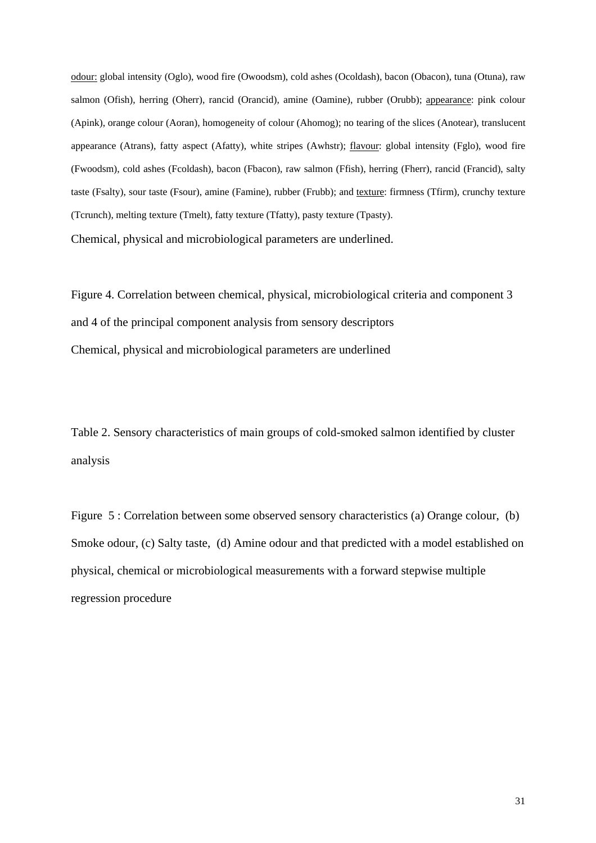odour: global intensity (Oglo), wood fire (Owoodsm), cold ashes (Ocoldash), bacon (Obacon), tuna (Otuna), raw salmon (Ofish), herring (Oherr), rancid (Orancid), amine (Oamine), rubber (Orubb); appearance: pink colour (Apink), orange colour (Aoran), homogeneity of colour (Ahomog); no tearing of the slices (Anotear), translucent appearance (Atrans), fatty aspect (Afatty), white stripes (Awhstr); flavour: global intensity (Fglo), wood fire (Fwoodsm), cold ashes (Fcoldash), bacon (Fbacon), raw salmon (Ffish), herring (Fherr), rancid (Francid), salty taste (Fsalty), sour taste (Fsour), amine (Famine), rubber (Frubb); and texture: firmness (Tfirm), crunchy texture (Tcrunch), melting texture (Tmelt), fatty texture (Tfatty), pasty texture (Tpasty). Chemical, physical and microbiological parameters are underlined.

Figure 4. Correlation between chemical, physical, microbiological criteria and component 3 and 4 of the principal component analysis from sensory descriptors Chemical, physical and microbiological parameters are underlined

Table 2. Sensory characteristics of main groups of cold-smoked salmon identified by cluster analysis

Figure 5 : Correlation between some observed sensory characteristics (a) Orange colour, (b) Smoke odour, (c) Salty taste, (d) Amine odour and that predicted with a model established on physical, chemical or microbiological measurements with a forward stepwise multiple regression procedure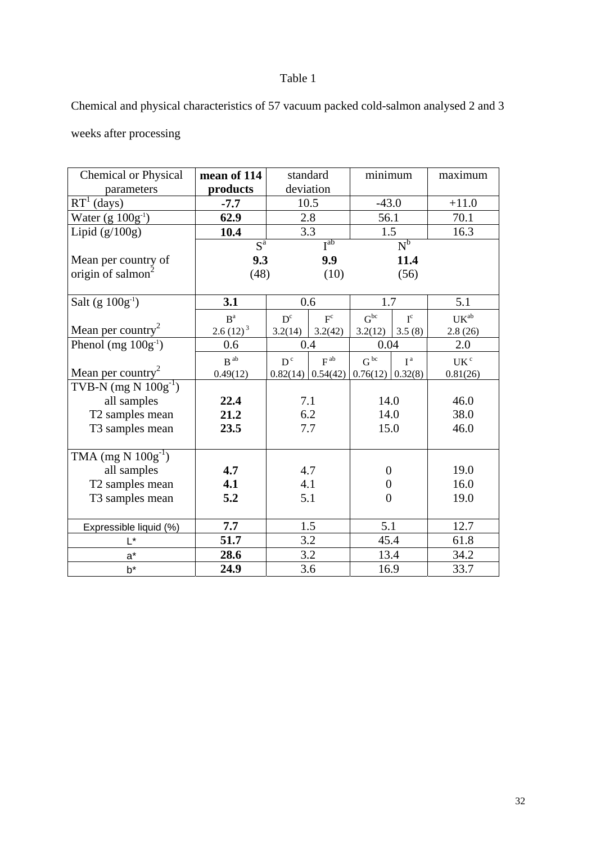# Table 1

Chemical and physical characteristics of 57 vacuum packed cold-salmon analysed 2 and 3

weeks after processing

| <b>Chemical or Physical</b>       | mean of 114                   | standard                                 | minimum                                            | maximum                                                    |
|-----------------------------------|-------------------------------|------------------------------------------|----------------------------------------------------|------------------------------------------------------------|
| parameters                        | products                      | deviation                                |                                                    |                                                            |
| $\overline{\mathrm{RT}^1}$ (days) | $-7.7$                        | 10.5                                     | $-43.0$                                            | $+11.0$                                                    |
| Water $(g 100g^{-1})$             | 62.9                          | 2.8                                      | 56.1                                               | 70.1                                                       |
| Lipid $(g/100g)$                  | 10.4                          | 3.3                                      | 1.5                                                | 16.3                                                       |
|                                   | $S^a$                         | I <sub>ap</sub>                          | $N^b$                                              |                                                            |
| Mean per country of               | 9.3                           | 9.9                                      | 11.4                                               |                                                            |
| origin of salmon <sup>2</sup>     | (48)                          | (10)                                     | (56)                                               |                                                            |
| Salt (g $100g^{-1}$ )             | 3.1                           | 0.6                                      | 1.7                                                | 5.1                                                        |
|                                   |                               |                                          |                                                    |                                                            |
| Mean per country <sup>2</sup>     | B <sup>a</sup><br>$2.6(12)^3$ | $F^c$<br>$D^{c}$<br>3.2(14)<br>3.2(42)   | $G^{bc}$<br>$I^c$<br>3.5(8)<br>3.2(12)             | $\ensuremath{\mathrm{UK}}\xspace^\ensuremath{\mathrm{ab}}$ |
| Phenol (mg $100g^{-1}$ )          | 0.6                           | 0.4                                      | 0.04                                               | 2.8(26)<br>2.0                                             |
|                                   |                               |                                          |                                                    |                                                            |
| Mean per country <sup>2</sup>     | $B$ <sup>ab</sup><br>0.49(12) | $D^c$<br>$F^{ab}$<br>$0.82(14)$ 0.54(42) | $G^{bc}$<br>I <sup>a</sup><br>$0.76(12)$ $0.32(8)$ | UK <sup>c</sup><br>0.81(26)                                |
| TVB-N $(mg N 100g^{-1})$          |                               |                                          |                                                    |                                                            |
| all samples                       | 22.4                          | 7.1                                      | 14.0                                               | 46.0                                                       |
| T2 samples mean                   | 21.2                          | 6.2                                      | 14.0                                               | 38.0                                                       |
| T3 samples mean                   | 23.5                          | 7.7                                      | 15.0                                               | 46.0                                                       |
|                                   |                               |                                          |                                                    |                                                            |
| TMA $(mg N 100g^{-1})$            |                               |                                          |                                                    |                                                            |
| all samples                       | 4.7                           | 4.7                                      | $\boldsymbol{0}$                                   | 19.0                                                       |
| T2 samples mean                   | 4.1                           | 4.1                                      | $\overline{0}$                                     | 16.0                                                       |
| T3 samples mean                   | 5.2                           | 5.1                                      | $\overline{0}$                                     | 19.0                                                       |
|                                   |                               |                                          |                                                    |                                                            |
| Expressible liquid (%)            | 7.7                           | 1.5                                      | 5.1                                                | 12.7                                                       |
| L*                                | 51.7                          | 3.2                                      | 45.4                                               | 61.8                                                       |
| $a^*$                             | 28.6                          | 3.2                                      | 13.4                                               | 34.2                                                       |
| $b^*$                             | 24.9                          | 3.6                                      | 16.9                                               | 33.7                                                       |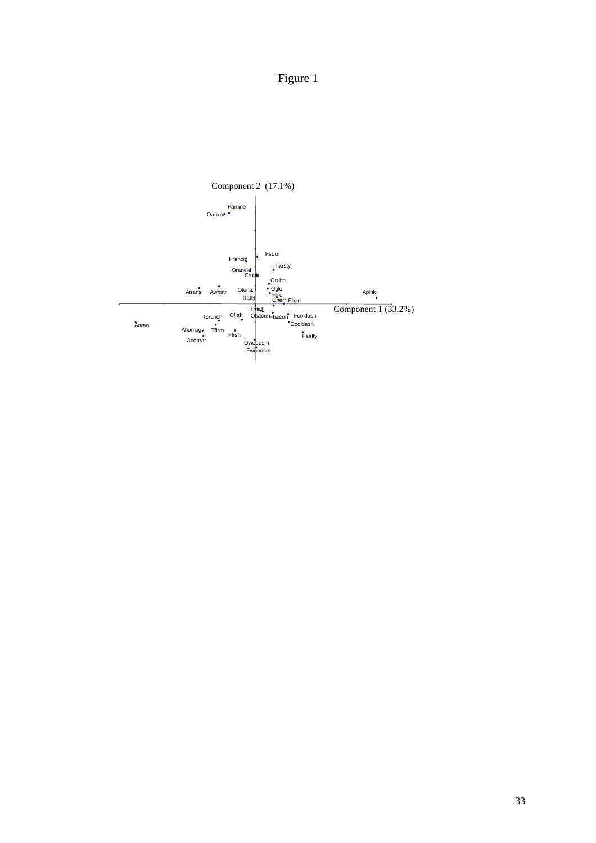

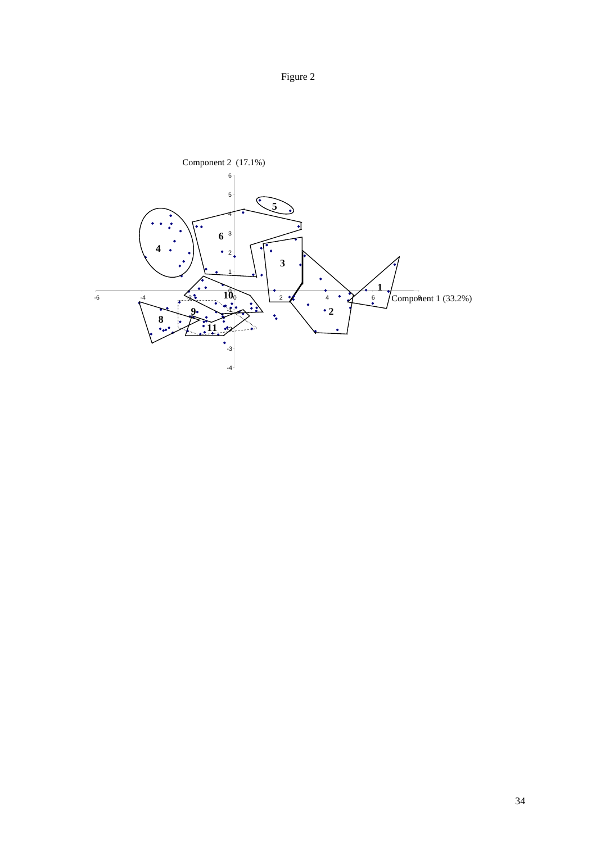

Figure 2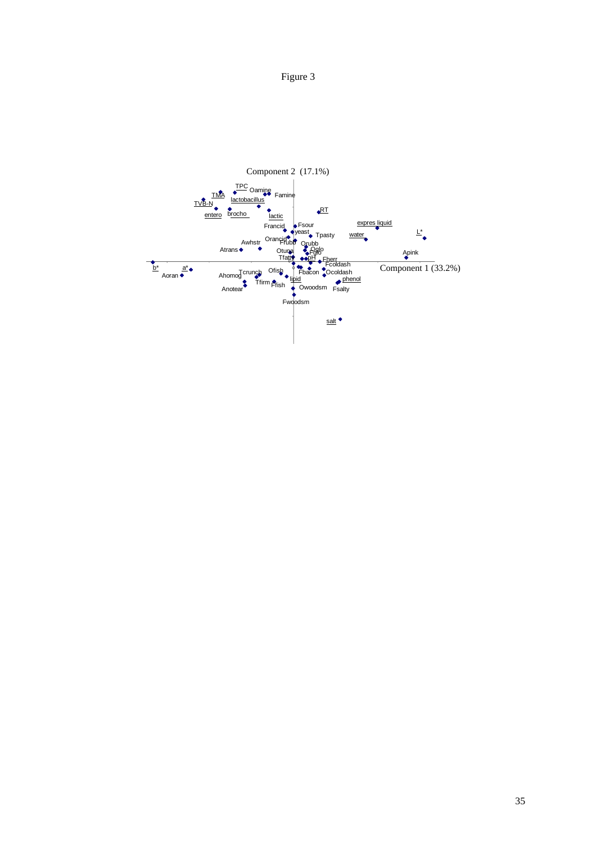Figure 3

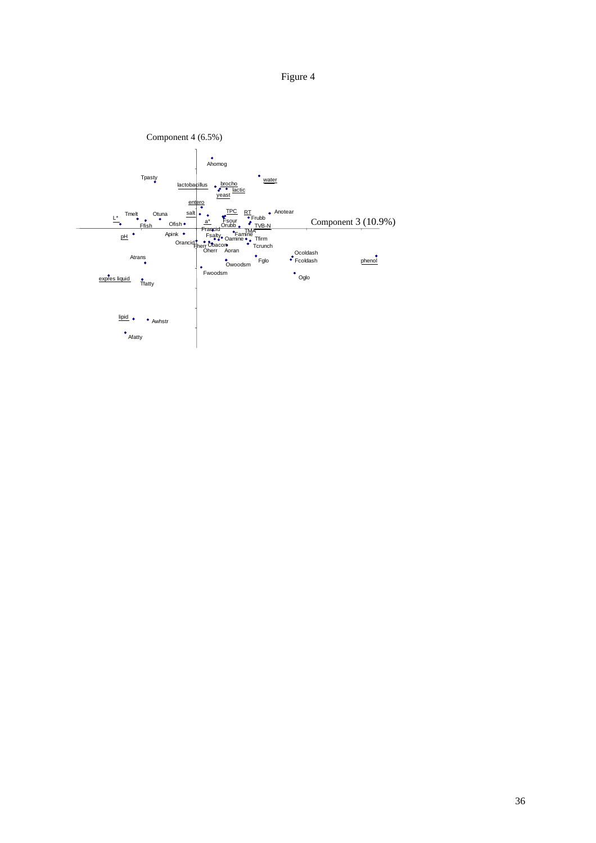Figure 4

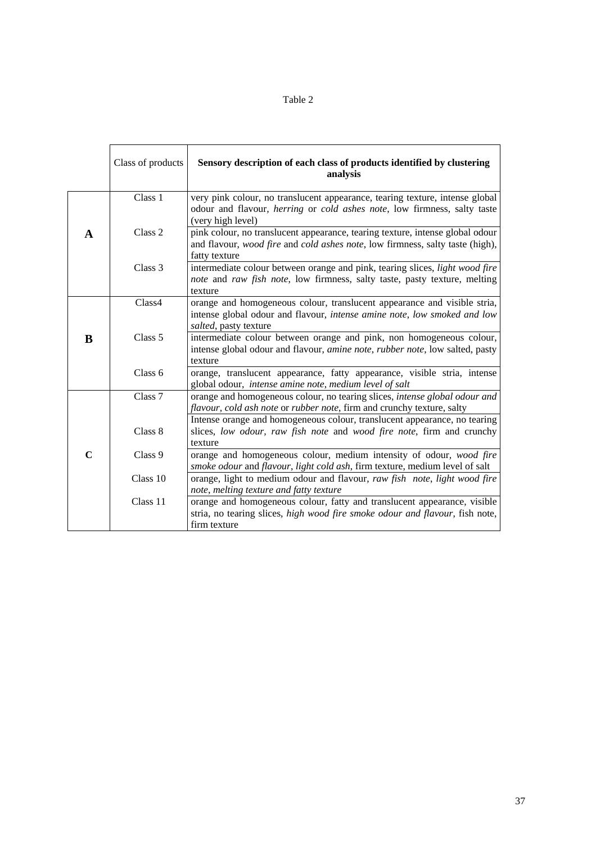| × |  |
|---|--|
|   |  |

|             | Class of products | Sensory description of each class of products identified by clustering<br>analysis                                                                                              |
|-------------|-------------------|---------------------------------------------------------------------------------------------------------------------------------------------------------------------------------|
|             | Class 1           | very pink colour, no translucent appearance, tearing texture, intense global<br>odour and flavour, herring or cold ashes note, low firmness, salty taste<br>(very high level)   |
| $\mathbf A$ | Class 2           | pink colour, no translucent appearance, tearing texture, intense global odour<br>and flavour, wood fire and cold ashes note, low firmness, salty taste (high),<br>fatty texture |
|             | Class 3           | intermediate colour between orange and pink, tearing slices, light wood fire<br>note and raw fish note, low firmness, salty taste, pasty texture, melting<br>texture            |
|             | Class4            | orange and homogeneous colour, translucent appearance and visible stria,<br>intense global odour and flavour, intense amine note, low smoked and low<br>salted, pasty texture   |
| B           | Class 5           | intermediate colour between orange and pink, non homogeneous colour,<br>intense global odour and flavour, amine note, rubber note, low salted, pasty<br>texture                 |
|             | Class 6           | orange, translucent appearance, fatty appearance, visible stria, intense<br>global odour, intense amine note, medium level of salt                                              |
|             | Class 7           | orange and homogeneous colour, no tearing slices, intense global odour and<br>flavour, cold ash note or rubber note, firm and crunchy texture, salty                            |
|             | Class 8           | Intense orange and homogeneous colour, translucent appearance, no tearing<br>slices, low odour, raw fish note and wood fire note, firm and crunchy<br>texture                   |
| $\mathbf C$ | Class 9           | orange and homogeneous colour, medium intensity of odour, wood fire<br>smoke odour and flavour, light cold ash, firm texture, medium level of salt                              |
|             | Class 10          | orange, light to medium odour and flavour, raw fish note, light wood fire<br>note, melting texture and fatty texture                                                            |
|             | Class 11          | orange and homogeneous colour, fatty and translucent appearance, visible<br>stria, no tearing slices, high wood fire smoke odour and flavour, fish note,<br>firm texture        |